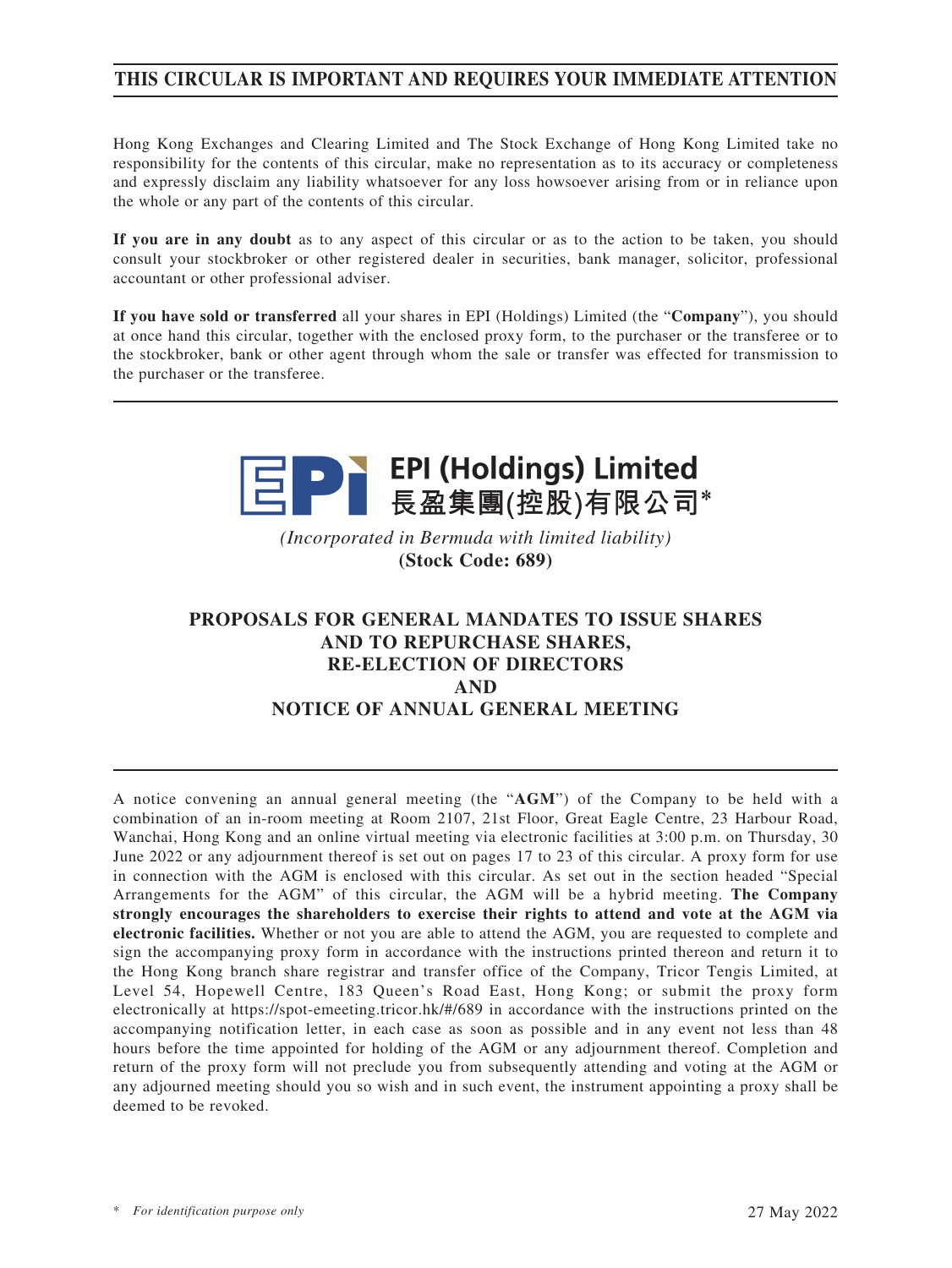# **THIS CIRCULAR IS IMPORTANT AND REQUIRES YOUR IMMEDIATE ATTENTION**

Hong Kong Exchanges and Clearing Limited and The Stock Exchange of Hong Kong Limited take no responsibility for the contents of this circular, make no representation as to its accuracy or completeness and expressly disclaim any liability whatsoever for any loss howsoever arising from or in reliance upon the whole or any part of the contents of this circular.

**If you are in any doubt** as to any aspect of this circular or as to the action to be taken, you should consult your stockbroker or other registered dealer in securities, bank manager, solicitor, professional accountant or other professional adviser.

**If you have sold or transferred** all your shares in EPI (Holdings) Limited (the "**Company**"), you should at once hand this circular, together with the enclosed proxy form, to the purchaser or the transferee or to the stockbroker, bank or other agent through whom the sale or transfer was effected for transmission to the purchaser or the transferee.



*(Incorporated in Bermuda with limited liability)* **(Stock Code: 689)**

# **PROPOSALS FOR GENERAL MANDATES TO ISSUE SHARES AND TO REPURCHASE SHARES, RE-ELECTION OF DIRECTORS AND NOTICE OF ANNUAL GENERAL MEETING**

A notice convening an annual general meeting (the "**AGM**") of the Company to be held with a combination of an in-room meeting at Room 2107, 21st Floor, Great Eagle Centre, 23 Harbour Road, Wanchai, Hong Kong and an online virtual meeting via electronic facilities at 3:00 p.m. on Thursday, 30 June 2022 or any adjournment thereof is set out on pages 17 to 23 of this circular. A proxy form for use in connection with the AGM is enclosed with this circular. As set out in the section headed "Special Arrangements for the AGM" of this circular, the AGM will be a hybrid meeting. **The Company strongly encourages the shareholders to exercise their rights to attend and vote at the AGM via electronic facilities.** Whether or not you are able to attend the AGM, you are requested to complete and sign the accompanying proxy form in accordance with the instructions printed thereon and return it to the Hong Kong branch share registrar and transfer office of the Company, Tricor Tengis Limited, at Level 54, Hopewell Centre, 183 Queen's Road East, Hong Kong; or submit the proxy form electronically at https://spot-emeeting.tricor.hk/#/689 in accordance with the instructions printed on the accompanying notification letter, in each case as soon as possible and in any event not less than 48 hours before the time appointed for holding of the AGM or any adjournment thereof. Completion and return of the proxy form will not preclude you from subsequently attending and voting at the AGM or any adjourned meeting should you so wish and in such event, the instrument appointing a proxy shall be deemed to be revoked.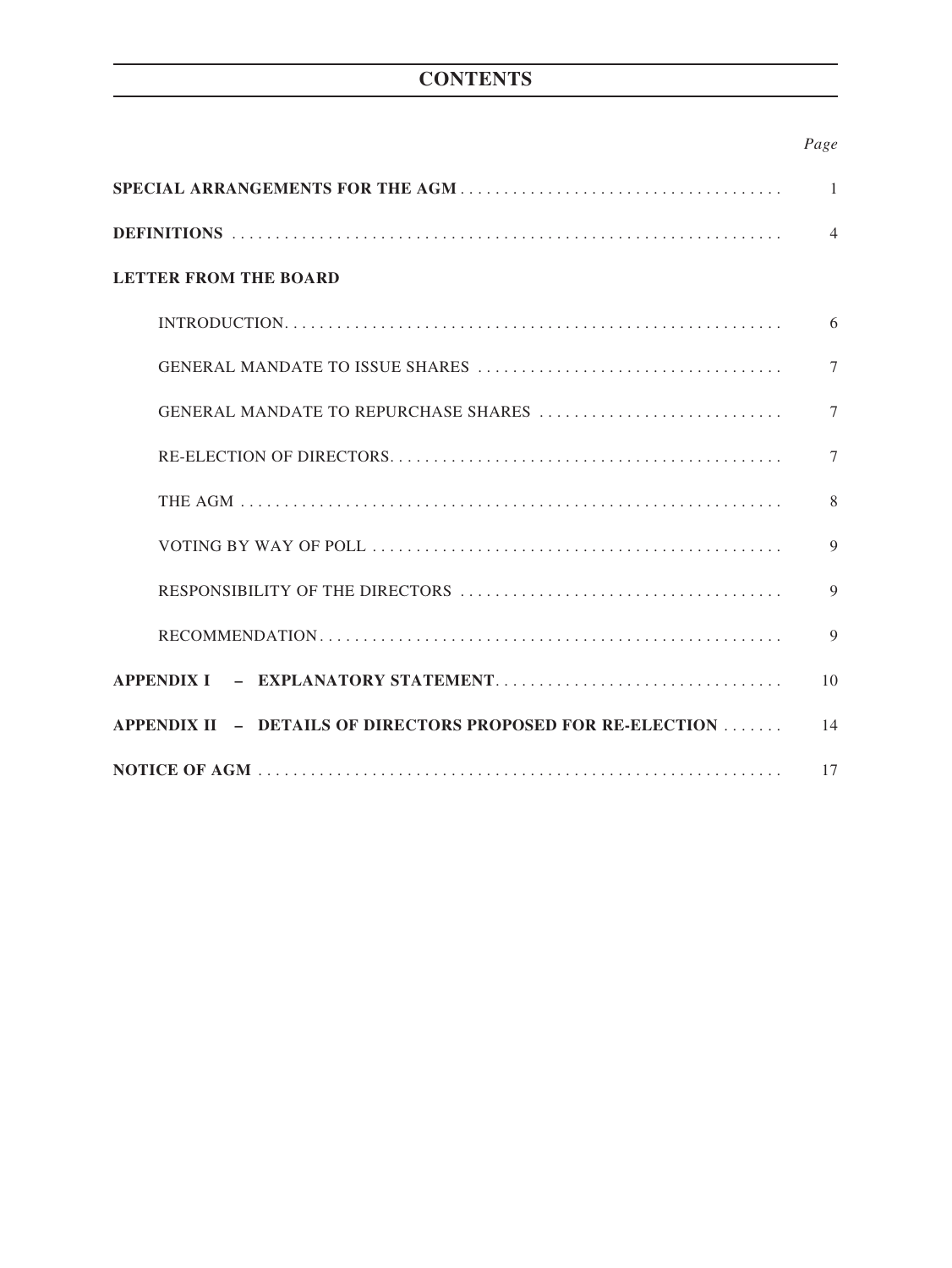# **CONTENTS**

# *Page*

|                                                             | $\overline{1}$ |
|-------------------------------------------------------------|----------------|
|                                                             | $\overline{4}$ |
| <b>LETTER FROM THE BOARD</b>                                |                |
|                                                             | 6              |
|                                                             | $\tau$         |
|                                                             | $\tau$         |
|                                                             | $\tau$         |
|                                                             | 8              |
|                                                             | 9              |
|                                                             | $\mathbf Q$    |
|                                                             | 9              |
|                                                             | 10             |
| APPENDIX II - DETAILS OF DIRECTORS PROPOSED FOR RE-ELECTION | 14             |
|                                                             | 17             |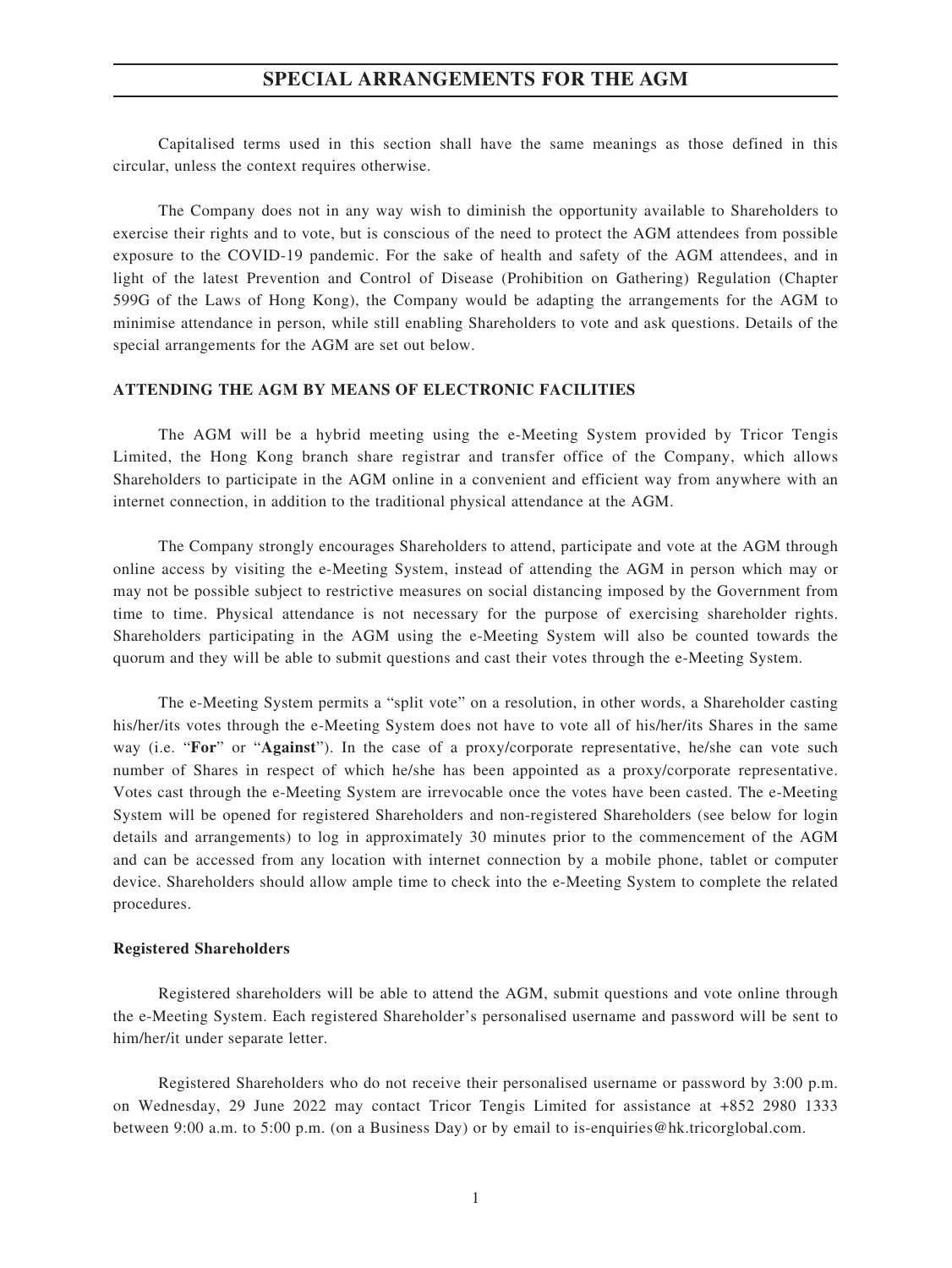Capitalised terms used in this section shall have the same meanings as those defined in this circular, unless the context requires otherwise.

The Company does not in any way wish to diminish the opportunity available to Shareholders to exercise their rights and to vote, but is conscious of the need to protect the AGM attendees from possible exposure to the COVID-19 pandemic. For the sake of health and safety of the AGM attendees, and in light of the latest Prevention and Control of Disease (Prohibition on Gathering) Regulation (Chapter 599G of the Laws of Hong Kong), the Company would be adapting the arrangements for the AGM to minimise attendance in person, while still enabling Shareholders to vote and ask questions. Details of the special arrangements for the AGM are set out below.

### **ATTENDING THE AGM BY MEANS OF ELECTRONIC FACILITIES**

The AGM will be a hybrid meeting using the e-Meeting System provided by Tricor Tengis Limited, the Hong Kong branch share registrar and transfer office of the Company, which allows Shareholders to participate in the AGM online in a convenient and efficient way from anywhere with an internet connection, in addition to the traditional physical attendance at the AGM.

The Company strongly encourages Shareholders to attend, participate and vote at the AGM through online access by visiting the e-Meeting System, instead of attending the AGM in person which may or may not be possible subject to restrictive measures on social distancing imposed by the Government from time to time. Physical attendance is not necessary for the purpose of exercising shareholder rights. Shareholders participating in the AGM using the e-Meeting System will also be counted towards the quorum and they will be able to submit questions and cast their votes through the e-Meeting System.

The e-Meeting System permits a "split vote" on a resolution, in other words, a Shareholder casting his/her/its votes through the e-Meeting System does not have to vote all of his/her/its Shares in the same way (i.e. "**For**" or "**Against**"). In the case of a proxy/corporate representative, he/she can vote such number of Shares in respect of which he/she has been appointed as a proxy/corporate representative. Votes cast through the e-Meeting System are irrevocable once the votes have been casted. The e-Meeting System will be opened for registered Shareholders and non-registered Shareholders (see below for login details and arrangements) to log in approximately 30 minutes prior to the commencement of the AGM and can be accessed from any location with internet connection by a mobile phone, tablet or computer device. Shareholders should allow ample time to check into the e-Meeting System to complete the related procedures.

#### **Registered Shareholders**

Registered shareholders will be able to attend the AGM, submit questions and vote online through the e-Meeting System. Each registered Shareholder's personalised username and password will be sent to him/her/it under separate letter.

Registered Shareholders who do not receive their personalised username or password by 3:00 p.m. on Wednesday, 29 June 2022 may contact Tricor Tengis Limited for assistance at +852 2980 1333 between 9:00 a.m. to 5:00 p.m. (on a Business Day) or by email to is-enquiries@hk.tricorglobal.com.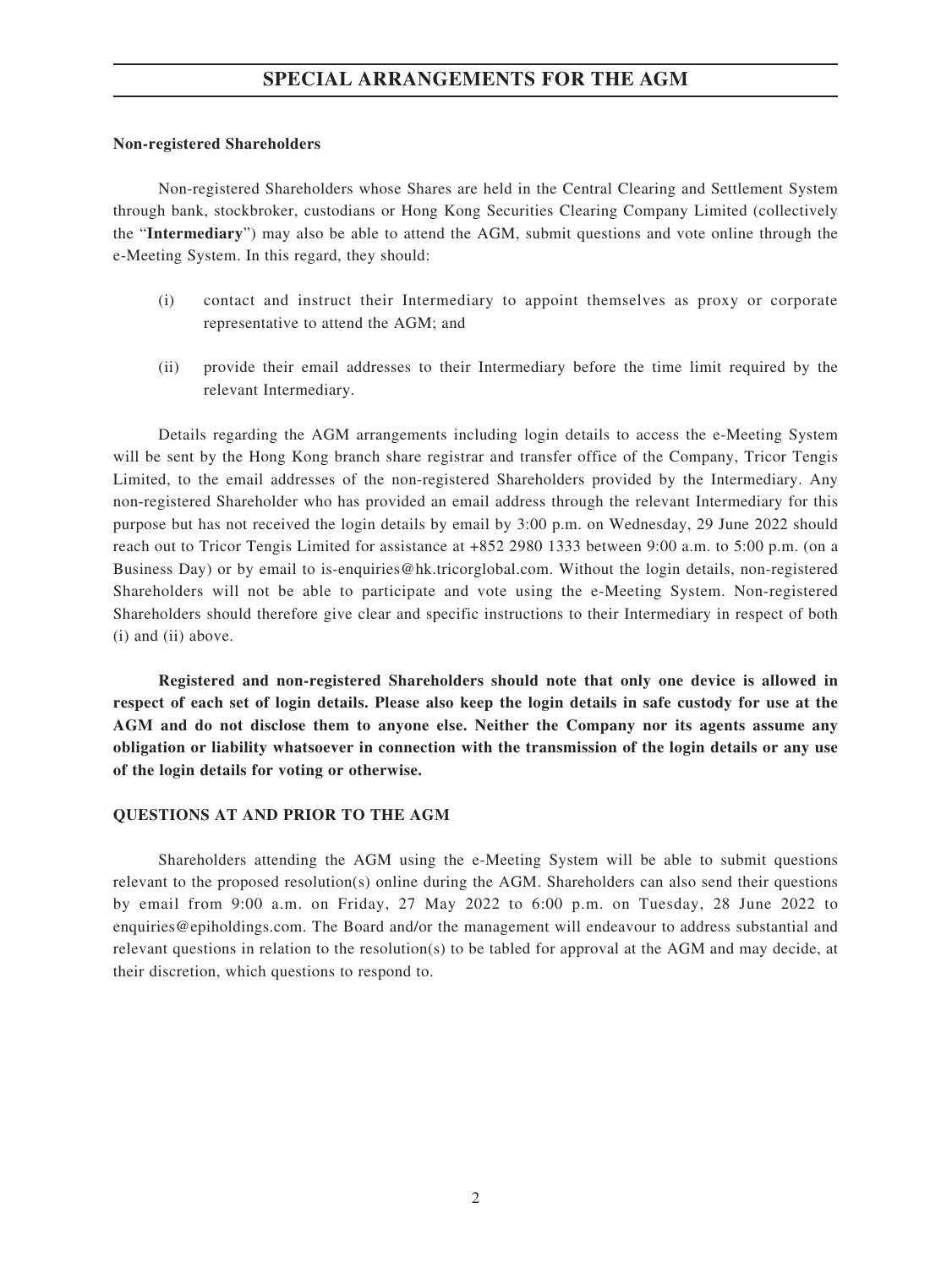#### **Non-registered Shareholders**

Non-registered Shareholders whose Shares are held in the Central Clearing and Settlement System through bank, stockbroker, custodians or Hong Kong Securities Clearing Company Limited (collectively the "**Intermediary**") may also be able to attend the AGM, submit questions and vote online through the e-Meeting System. In this regard, they should:

- (i) contact and instruct their Intermediary to appoint themselves as proxy or corporate representative to attend the AGM; and
- (ii) provide their email addresses to their Intermediary before the time limit required by the relevant Intermediary.

Details regarding the AGM arrangements including login details to access the e-Meeting System will be sent by the Hong Kong branch share registrar and transfer office of the Company, Tricor Tengis Limited, to the email addresses of the non-registered Shareholders provided by the Intermediary. Any non-registered Shareholder who has provided an email address through the relevant Intermediary for this purpose but has not received the login details by email by 3:00 p.m. on Wednesday, 29 June 2022 should reach out to Tricor Tengis Limited for assistance at +852 2980 1333 between 9:00 a.m. to 5:00 p.m. (on a Business Day) or by email to is-enquiries@hk.tricorglobal.com. Without the login details, non-registered Shareholders will not be able to participate and vote using the e-Meeting System. Non-registered Shareholders should therefore give clear and specific instructions to their Intermediary in respect of both (i) and (ii) above.

**Registered and non-registered Shareholders should note that only one device is allowed in respect of each set of login details. Please also keep the login details in safe custody for use at the AGM and do not disclose them to anyone else. Neither the Company nor its agents assume any obligation or liability whatsoever in connection with the transmission of the login details or any use of the login details for voting or otherwise.**

#### **QUESTIONS AT AND PRIOR TO THE AGM**

Shareholders attending the AGM using the e-Meeting System will be able to submit questions relevant to the proposed resolution(s) online during the AGM. Shareholders can also send their questions by email from 9:00 a.m. on Friday, 27 May 2022 to 6:00 p.m. on Tuesday, 28 June 2022 to enquiries@epiholdings.com. The Board and/or the management will endeavour to address substantial and relevant questions in relation to the resolution(s) to be tabled for approval at the AGM and may decide, at their discretion, which questions to respond to.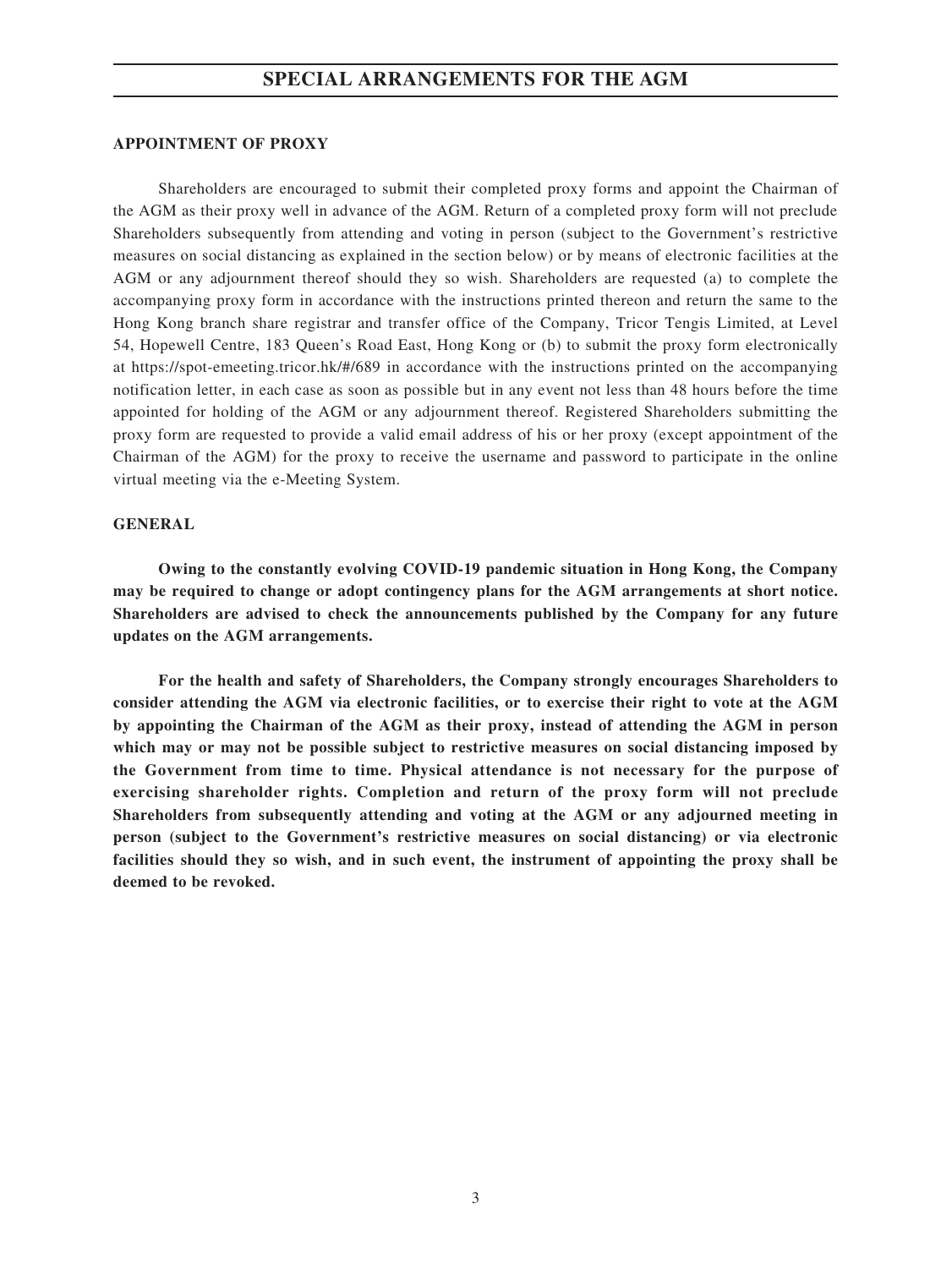#### **APPOINTMENT OF PROXY**

Shareholders are encouraged to submit their completed proxy forms and appoint the Chairman of the AGM as their proxy well in advance of the AGM. Return of a completed proxy form will not preclude Shareholders subsequently from attending and voting in person (subject to the Government's restrictive measures on social distancing as explained in the section below) or by means of electronic facilities at the AGM or any adjournment thereof should they so wish. Shareholders are requested (a) to complete the accompanying proxy form in accordance with the instructions printed thereon and return the same to the Hong Kong branch share registrar and transfer office of the Company, Tricor Tengis Limited, at Level 54, Hopewell Centre, 183 Queen's Road East, Hong Kong or (b) to submit the proxy form electronically at https://spot-emeeting.tricor.hk/#/689 in accordance with the instructions printed on the accompanying notification letter, in each case as soon as possible but in any event not less than 48 hours before the time appointed for holding of the AGM or any adjournment thereof. Registered Shareholders submitting the proxy form are requested to provide a valid email address of his or her proxy (except appointment of the Chairman of the AGM) for the proxy to receive the username and password to participate in the online virtual meeting via the e-Meeting System.

#### **GENERAL**

**Owing to the constantly evolving COVID-19 pandemic situation in Hong Kong, the Company may be required to change or adopt contingency plans for the AGM arrangements at short notice. Shareholders are advised to check the announcements published by the Company for any future updates on the AGM arrangements.**

**For the health and safety of Shareholders, the Company strongly encourages Shareholders to consider attending the AGM via electronic facilities, or to exercise their right to vote at the AGM by appointing the Chairman of the AGM as their proxy, instead of attending the AGM in person which may or may not be possible subject to restrictive measures on social distancing imposed by the Government from time to time. Physical attendance is not necessary for the purpose of exercising shareholder rights. Completion and return of the proxy form will not preclude Shareholders from subsequently attending and voting at the AGM or any adjourned meeting in person (subject to the Government's restrictive measures on social distancing) or via electronic facilities should they so wish, and in such event, the instrument of appointing the proxy shall be deemed to be revoked.**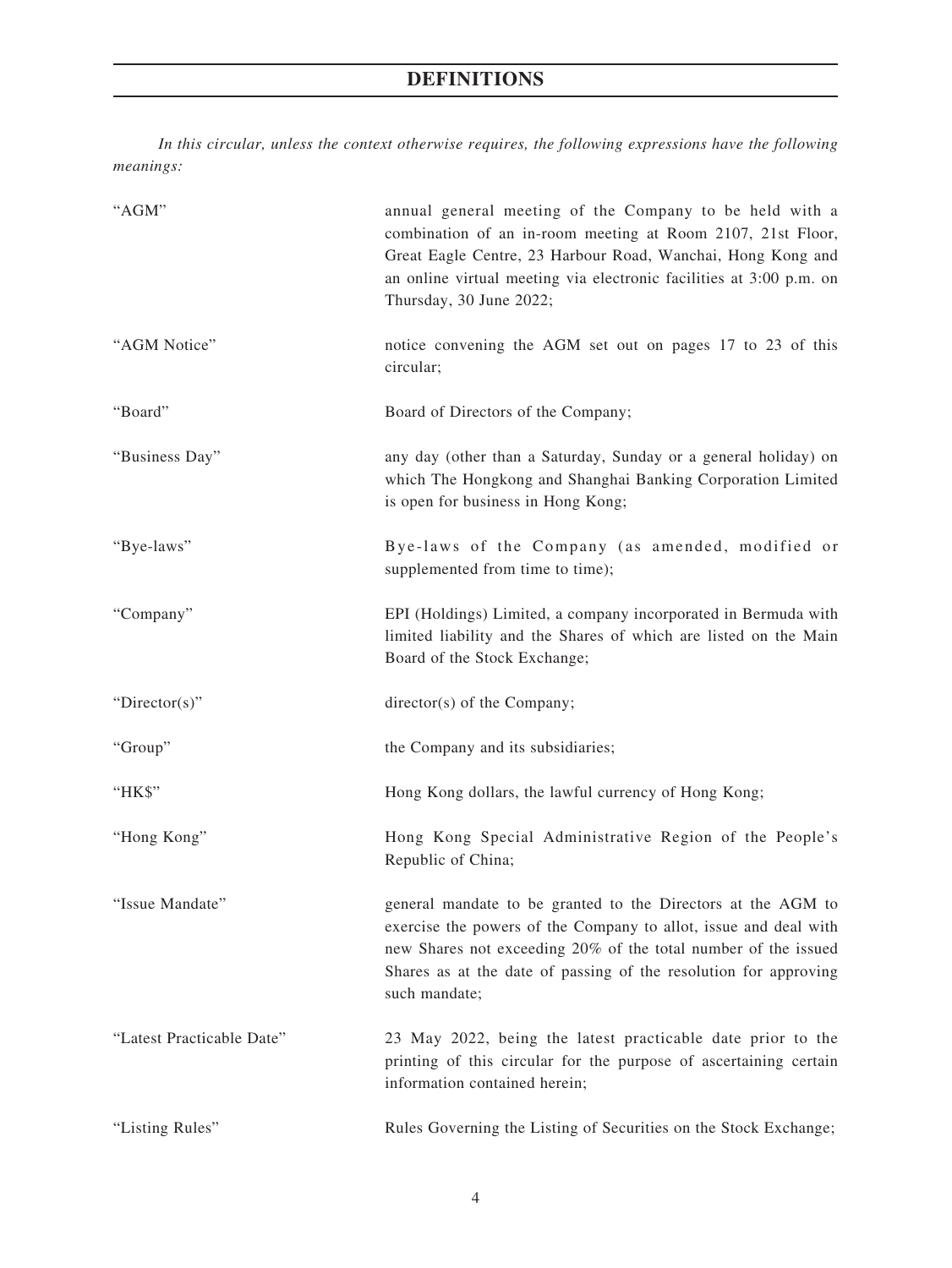# **DEFINITIONS**

*In this circular, unless the context otherwise requires, the following expressions have the following meanings:*

| "AGM"                     | annual general meeting of the Company to be held with a<br>combination of an in-room meeting at Room 2107, 21st Floor,<br>Great Eagle Centre, 23 Harbour Road, Wanchai, Hong Kong and<br>an online virtual meeting via electronic facilities at 3:00 p.m. on<br>Thursday, 30 June 2022; |
|---------------------------|-----------------------------------------------------------------------------------------------------------------------------------------------------------------------------------------------------------------------------------------------------------------------------------------|
| "AGM Notice"              | notice convening the AGM set out on pages 17 to 23 of this<br>circular;                                                                                                                                                                                                                 |
| "Board"                   | Board of Directors of the Company;                                                                                                                                                                                                                                                      |
| "Business Day"            | any day (other than a Saturday, Sunday or a general holiday) on<br>which The Hongkong and Shanghai Banking Corporation Limited<br>is open for business in Hong Kong;                                                                                                                    |
| "Bye-laws"                | Bye-laws of the Company (as amended, modified or<br>supplemented from time to time);                                                                                                                                                                                                    |
| "Company"                 | EPI (Holdings) Limited, a company incorporated in Bermuda with<br>limited liability and the Shares of which are listed on the Main<br>Board of the Stock Exchange;                                                                                                                      |
| "Director(s)"             | director(s) of the Company;                                                                                                                                                                                                                                                             |
| "Group"                   | the Company and its subsidiaries;                                                                                                                                                                                                                                                       |
| "HK\$"                    | Hong Kong dollars, the lawful currency of Hong Kong;                                                                                                                                                                                                                                    |
| "Hong Kong"               | Hong Kong Special Administrative Region of the People's<br>Republic of China;                                                                                                                                                                                                           |
| "Issue Mandate"           | general mandate to be granted to the Directors at the AGM to<br>exercise the powers of the Company to allot, issue and deal with<br>new Shares not exceeding 20% of the total number of the issued<br>Shares as at the date of passing of the resolution for approving<br>such mandate; |
| "Latest Practicable Date" | 23 May 2022, being the latest practicable date prior to the<br>printing of this circular for the purpose of ascertaining certain<br>information contained herein;                                                                                                                       |
| "Listing Rules"           | Rules Governing the Listing of Securities on the Stock Exchange;                                                                                                                                                                                                                        |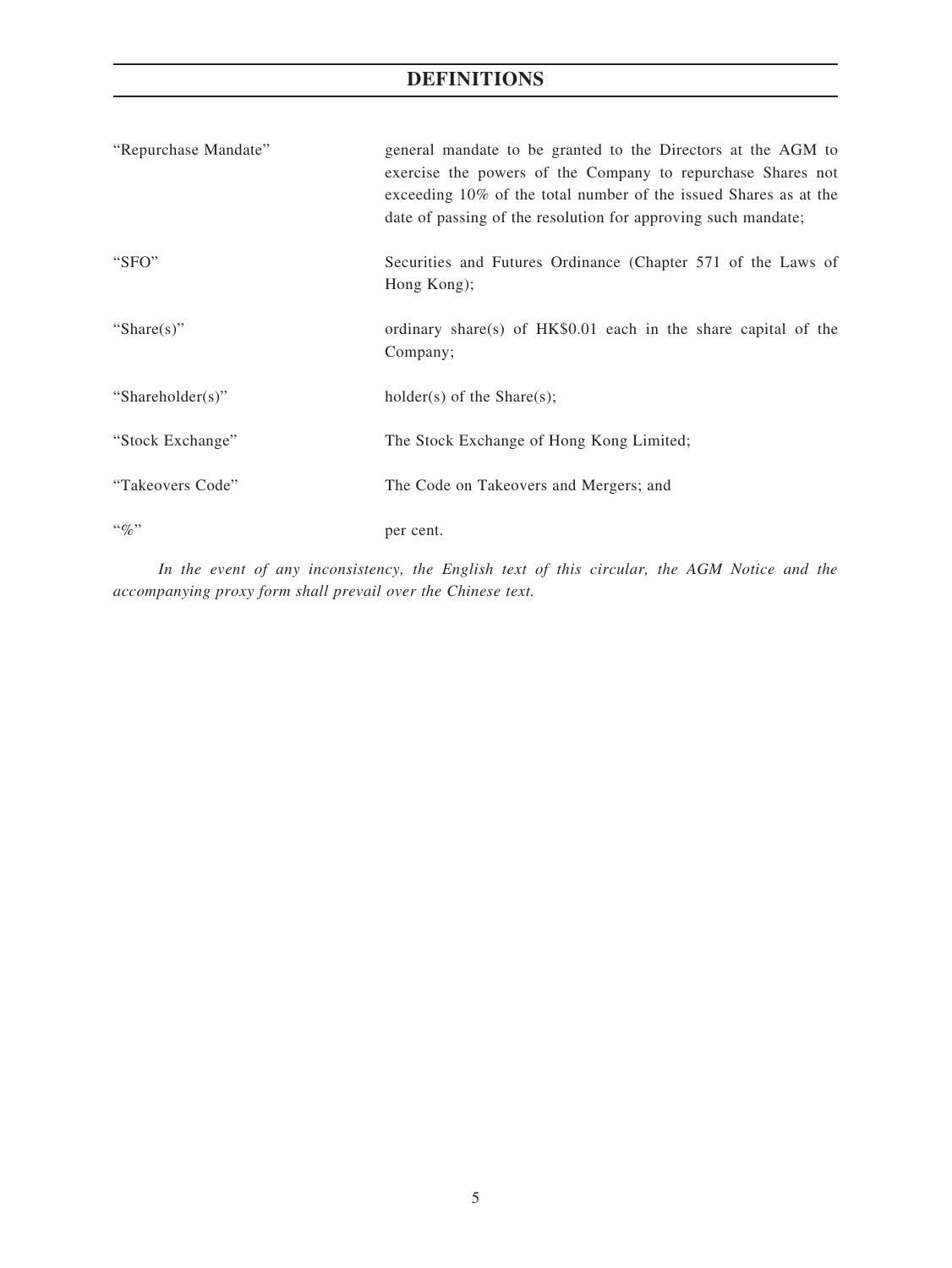# **DEFINITIONS**

| "Repurchase Mandate" | general mandate to be granted to the Directors at the AGM to<br>exercise the powers of the Company to repurchase Shares not<br>exceeding 10% of the total number of the issued Shares as at the<br>date of passing of the resolution for approving such mandate; |
|----------------------|------------------------------------------------------------------------------------------------------------------------------------------------------------------------------------------------------------------------------------------------------------------|
| "SFO"                | Securities and Futures Ordinance (Chapter 571 of the Laws of<br>Hong Kong);                                                                                                                                                                                      |
| "Share $(s)$ "       | ordinary share(s) of $HK$0.01$ each in the share capital of the<br>Company;                                                                                                                                                                                      |
| "Shareholder(s)"     | $holder(s)$ of the Share $(s)$ ;                                                                                                                                                                                                                                 |
| "Stock Exchange"     | The Stock Exchange of Hong Kong Limited;                                                                                                                                                                                                                         |
| "Takeovers Code"     | The Code on Takeovers and Mergers; and                                                                                                                                                                                                                           |
| $``\%"$              | per cent.                                                                                                                                                                                                                                                        |

*In the event of any inconsistency, the English text of this circular, the AGM Notice and the accompanying proxy form shall prevail over the Chinese text.*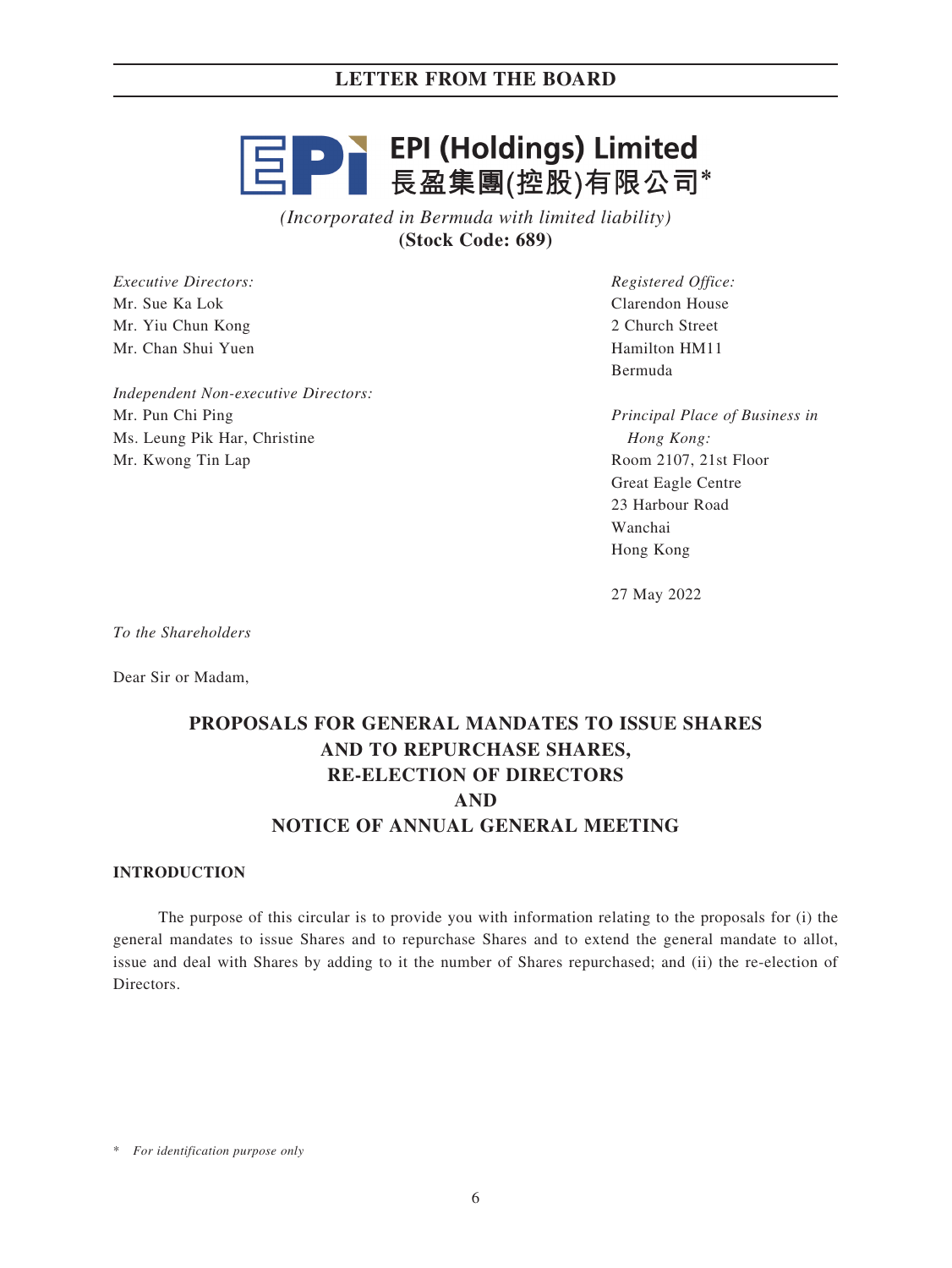# **百日日 EPI (Holdings) Limited**<br>三日日 長盈集團(控股)有限公司\*

*(Incorporated in Bermuda with limited liability)* **(Stock Code: 689)**

*Executive Directors:* Mr. Sue Ka Lok Mr. Yiu Chun Kong Mr. Chan Shui Yuen

*Independent Non-executive Directors:* Mr. Pun Chi Ping Ms. Leung Pik Har, Christine Mr. Kwong Tin Lap

*Registered Office:* Clarendon House 2 Church Street Hamilton HM11 Bermuda

*Principal Place of Business in Hong Kong:* Room 2107, 21st Floor Great Eagle Centre 23 Harbour Road Wanchai Hong Kong

27 May 2022

*To the Shareholders*

Dear Sir or Madam,

# **PROPOSALS FOR GENERAL MANDATES TO ISSUE SHARES AND TO REPURCHASE SHARES, RE-ELECTION OF DIRECTORS AND NOTICE OF ANNUAL GENERAL MEETING**

### **INTRODUCTION**

The purpose of this circular is to provide you with information relating to the proposals for (i) the general mandates to issue Shares and to repurchase Shares and to extend the general mandate to allot, issue and deal with Shares by adding to it the number of Shares repurchased; and (ii) the re-election of Directors.

\* *For identification purpose only*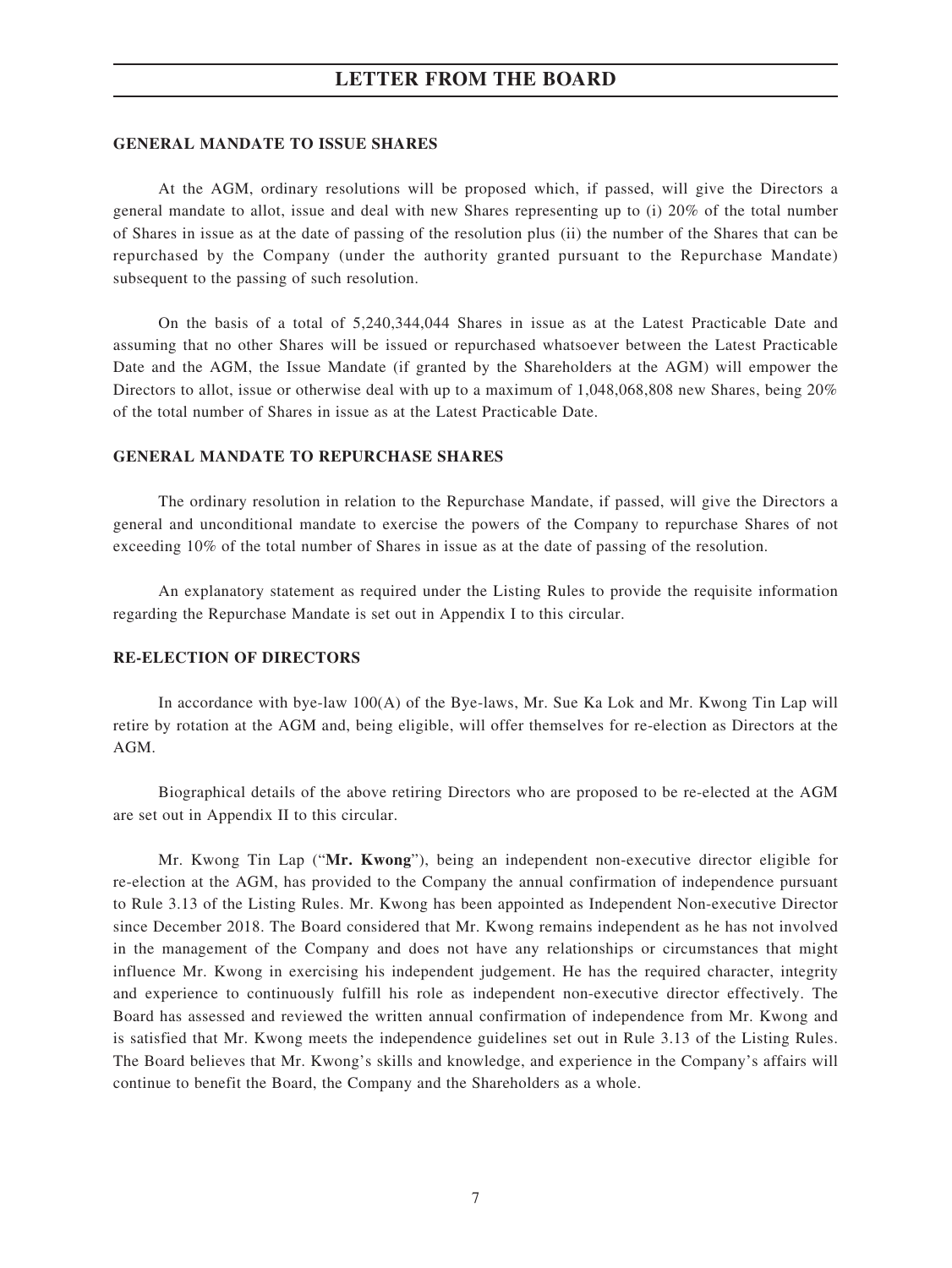# **LETTER FROM THE BOARD**

#### **GENERAL MANDATE TO ISSUE SHARES**

At the AGM, ordinary resolutions will be proposed which, if passed, will give the Directors a general mandate to allot, issue and deal with new Shares representing up to (i) 20% of the total number of Shares in issue as at the date of passing of the resolution plus (ii) the number of the Shares that can be repurchased by the Company (under the authority granted pursuant to the Repurchase Mandate) subsequent to the passing of such resolution.

On the basis of a total of 5,240,344,044 Shares in issue as at the Latest Practicable Date and assuming that no other Shares will be issued or repurchased whatsoever between the Latest Practicable Date and the AGM, the Issue Mandate (if granted by the Shareholders at the AGM) will empower the Directors to allot, issue or otherwise deal with up to a maximum of 1,048,068,808 new Shares, being 20% of the total number of Shares in issue as at the Latest Practicable Date.

#### **GENERAL MANDATE TO REPURCHASE SHARES**

The ordinary resolution in relation to the Repurchase Mandate, if passed, will give the Directors a general and unconditional mandate to exercise the powers of the Company to repurchase Shares of not exceeding 10% of the total number of Shares in issue as at the date of passing of the resolution.

An explanatory statement as required under the Listing Rules to provide the requisite information regarding the Repurchase Mandate is set out in Appendix I to this circular.

### **RE-ELECTION OF DIRECTORS**

In accordance with bye-law 100(A) of the Bye-laws, Mr. Sue Ka Lok and Mr. Kwong Tin Lap will retire by rotation at the AGM and, being eligible, will offer themselves for re-election as Directors at the AGM.

Biographical details of the above retiring Directors who are proposed to be re-elected at the AGM are set out in Appendix II to this circular.

Mr. Kwong Tin Lap ("**Mr. Kwong**"), being an independent non-executive director eligible for re-election at the AGM, has provided to the Company the annual confirmation of independence pursuant to Rule 3.13 of the Listing Rules. Mr. Kwong has been appointed as Independent Non-executive Director since December 2018. The Board considered that Mr. Kwong remains independent as he has not involved in the management of the Company and does not have any relationships or circumstances that might influence Mr. Kwong in exercising his independent judgement. He has the required character, integrity and experience to continuously fulfill his role as independent non-executive director effectively. The Board has assessed and reviewed the written annual confirmation of independence from Mr. Kwong and is satisfied that Mr. Kwong meets the independence guidelines set out in Rule 3.13 of the Listing Rules. The Board believes that Mr. Kwong's skills and knowledge, and experience in the Company's affairs will continue to benefit the Board, the Company and the Shareholders as a whole.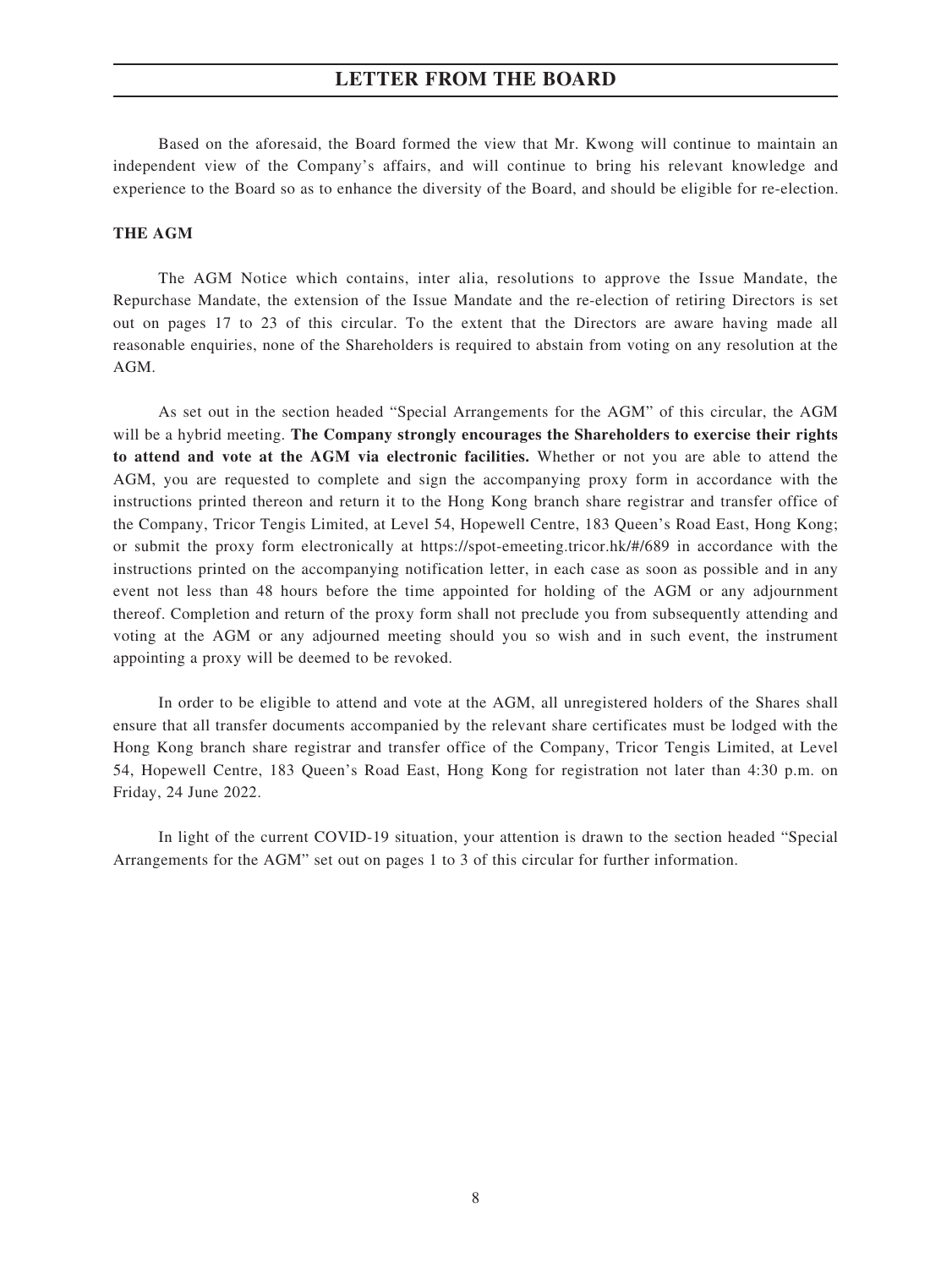# **LETTER FROM THE BOARD**

Based on the aforesaid, the Board formed the view that Mr. Kwong will continue to maintain an independent view of the Company's affairs, and will continue to bring his relevant knowledge and experience to the Board so as to enhance the diversity of the Board, and should be eligible for re-election.

#### **THE AGM**

The AGM Notice which contains, inter alia, resolutions to approve the Issue Mandate, the Repurchase Mandate, the extension of the Issue Mandate and the re-election of retiring Directors is set out on pages 17 to 23 of this circular. To the extent that the Directors are aware having made all reasonable enquiries, none of the Shareholders is required to abstain from voting on any resolution at the AGM.

As set out in the section headed "Special Arrangements for the AGM" of this circular, the AGM will be a hybrid meeting. **The Company strongly encourages the Shareholders to exercise their rights to attend and vote at the AGM via electronic facilities.** Whether or not you are able to attend the AGM, you are requested to complete and sign the accompanying proxy form in accordance with the instructions printed thereon and return it to the Hong Kong branch share registrar and transfer office of the Company, Tricor Tengis Limited, at Level 54, Hopewell Centre, 183 Queen's Road East, Hong Kong; or submit the proxy form electronically at https://spot-emeeting.tricor.hk/#/689 in accordance with the instructions printed on the accompanying notification letter, in each case as soon as possible and in any event not less than 48 hours before the time appointed for holding of the AGM or any adjournment thereof. Completion and return of the proxy form shall not preclude you from subsequently attending and voting at the AGM or any adjourned meeting should you so wish and in such event, the instrument appointing a proxy will be deemed to be revoked.

In order to be eligible to attend and vote at the AGM, all unregistered holders of the Shares shall ensure that all transfer documents accompanied by the relevant share certificates must be lodged with the Hong Kong branch share registrar and transfer office of the Company, Tricor Tengis Limited, at Level 54, Hopewell Centre, 183 Queen's Road East, Hong Kong for registration not later than 4:30 p.m. on Friday, 24 June 2022.

In light of the current COVID-19 situation, your attention is drawn to the section headed "Special Arrangements for the AGM" set out on pages 1 to 3 of this circular for further information.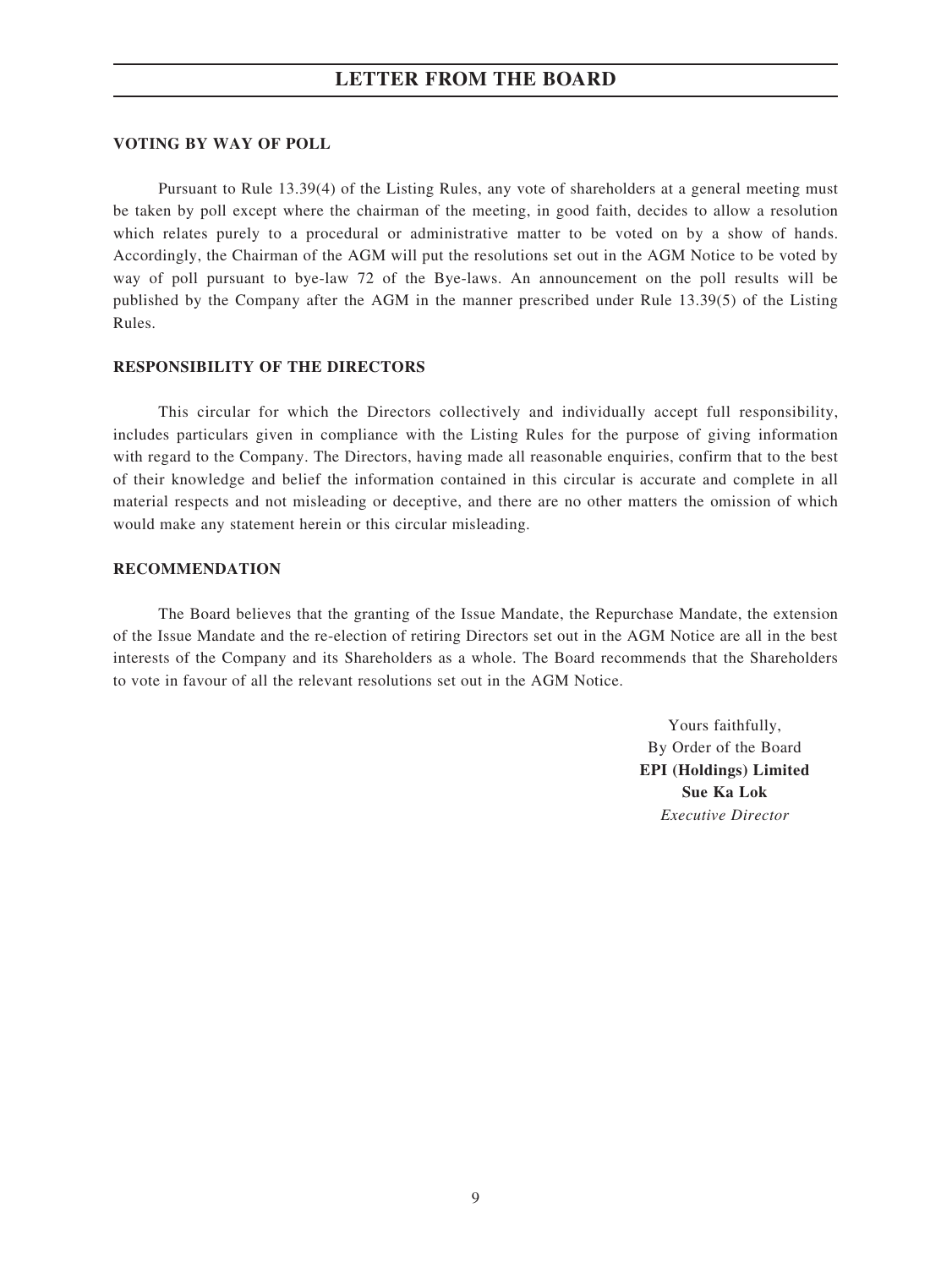#### **VOTING BY WAY OF POLL**

Pursuant to Rule 13.39(4) of the Listing Rules, any vote of shareholders at a general meeting must be taken by poll except where the chairman of the meeting, in good faith, decides to allow a resolution which relates purely to a procedural or administrative matter to be voted on by a show of hands. Accordingly, the Chairman of the AGM will put the resolutions set out in the AGM Notice to be voted by way of poll pursuant to bye-law 72 of the Bye-laws. An announcement on the poll results will be published by the Company after the AGM in the manner prescribed under Rule 13.39(5) of the Listing Rules.

#### **RESPONSIBILITY OF THE DIRECTORS**

This circular for which the Directors collectively and individually accept full responsibility, includes particulars given in compliance with the Listing Rules for the purpose of giving information with regard to the Company. The Directors, having made all reasonable enquiries, confirm that to the best of their knowledge and belief the information contained in this circular is accurate and complete in all material respects and not misleading or deceptive, and there are no other matters the omission of which would make any statement herein or this circular misleading.

#### **RECOMMENDATION**

The Board believes that the granting of the Issue Mandate, the Repurchase Mandate, the extension of the Issue Mandate and the re-election of retiring Directors set out in the AGM Notice are all in the best interests of the Company and its Shareholders as a whole. The Board recommends that the Shareholders to vote in favour of all the relevant resolutions set out in the AGM Notice.

> Yours faithfully, By Order of the Board **EPI (Holdings) Limited Sue Ka Lok** *Executive Director*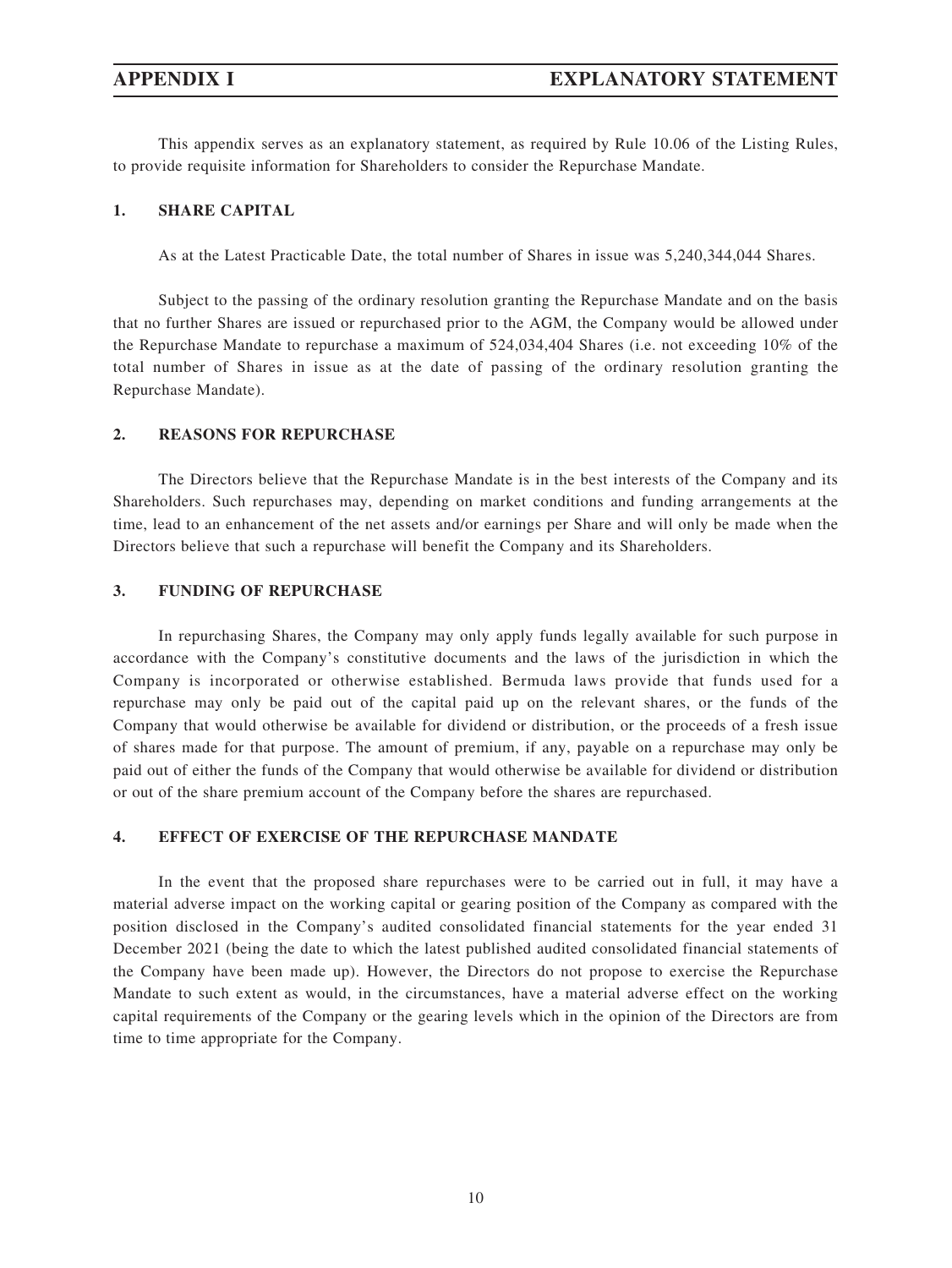This appendix serves as an explanatory statement, as required by Rule 10.06 of the Listing Rules, to provide requisite information for Shareholders to consider the Repurchase Mandate.

#### **1. SHARE CAPITAL**

As at the Latest Practicable Date, the total number of Shares in issue was 5,240,344,044 Shares.

Subject to the passing of the ordinary resolution granting the Repurchase Mandate and on the basis that no further Shares are issued or repurchased prior to the AGM, the Company would be allowed under the Repurchase Mandate to repurchase a maximum of 524,034,404 Shares (i.e. not exceeding 10% of the total number of Shares in issue as at the date of passing of the ordinary resolution granting the Repurchase Mandate).

#### **2. REASONS FOR REPURCHASE**

The Directors believe that the Repurchase Mandate is in the best interests of the Company and its Shareholders. Such repurchases may, depending on market conditions and funding arrangements at the time, lead to an enhancement of the net assets and/or earnings per Share and will only be made when the Directors believe that such a repurchase will benefit the Company and its Shareholders.

#### **3. FUNDING OF REPURCHASE**

In repurchasing Shares, the Company may only apply funds legally available for such purpose in accordance with the Company's constitutive documents and the laws of the jurisdiction in which the Company is incorporated or otherwise established. Bermuda laws provide that funds used for a repurchase may only be paid out of the capital paid up on the relevant shares, or the funds of the Company that would otherwise be available for dividend or distribution, or the proceeds of a fresh issue of shares made for that purpose. The amount of premium, if any, payable on a repurchase may only be paid out of either the funds of the Company that would otherwise be available for dividend or distribution or out of the share premium account of the Company before the shares are repurchased.

#### **4. EFFECT OF EXERCISE OF THE REPURCHASE MANDATE**

In the event that the proposed share repurchases were to be carried out in full, it may have a material adverse impact on the working capital or gearing position of the Company as compared with the position disclosed in the Company's audited consolidated financial statements for the year ended 31 December 2021 (being the date to which the latest published audited consolidated financial statements of the Company have been made up). However, the Directors do not propose to exercise the Repurchase Mandate to such extent as would, in the circumstances, have a material adverse effect on the working capital requirements of the Company or the gearing levels which in the opinion of the Directors are from time to time appropriate for the Company.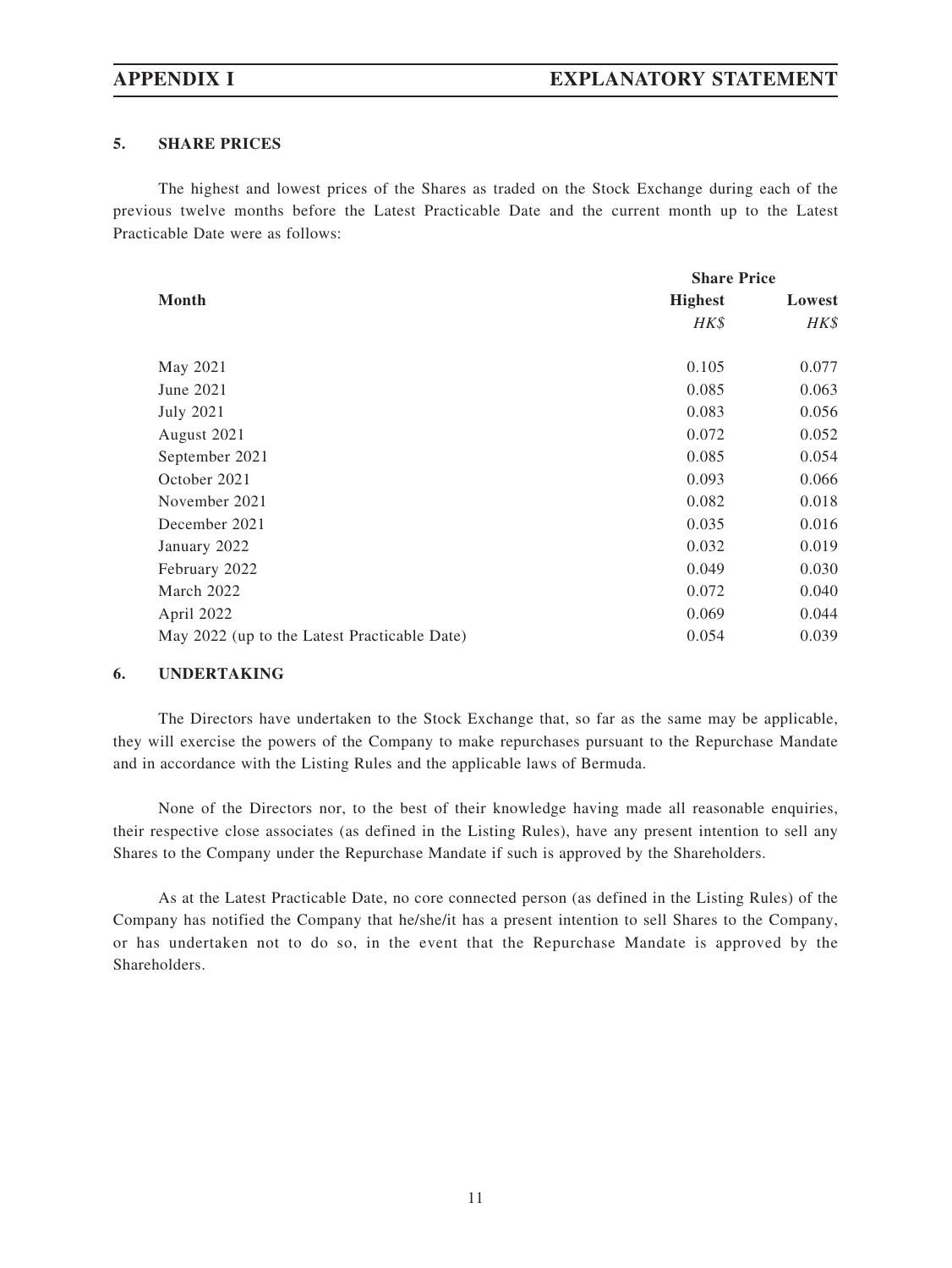## **5. SHARE PRICES**

The highest and lowest prices of the Shares as traded on the Stock Exchange during each of the previous twelve months before the Latest Practicable Date and the current month up to the Latest Practicable Date were as follows:

|                                              | <b>Share Price</b> |        |  |
|----------------------------------------------|--------------------|--------|--|
| Month                                        | <b>Highest</b>     | Lowest |  |
|                                              | HK\$               | HK\$   |  |
| May 2021                                     | 0.105              | 0.077  |  |
| June 2021                                    | 0.085              | 0.063  |  |
| <b>July 2021</b>                             | 0.083              | 0.056  |  |
| August 2021                                  | 0.072              | 0.052  |  |
| September 2021                               | 0.085              | 0.054  |  |
| October 2021                                 | 0.093              | 0.066  |  |
| November 2021                                | 0.082              | 0.018  |  |
| December 2021                                | 0.035              | 0.016  |  |
| January 2022                                 | 0.032              | 0.019  |  |
| February 2022                                | 0.049              | 0.030  |  |
| March 2022                                   | 0.072              | 0.040  |  |
| April 2022                                   | 0.069              | 0.044  |  |
| May 2022 (up to the Latest Practicable Date) | 0.054              | 0.039  |  |

## **6. UNDERTAKING**

The Directors have undertaken to the Stock Exchange that, so far as the same may be applicable, they will exercise the powers of the Company to make repurchases pursuant to the Repurchase Mandate and in accordance with the Listing Rules and the applicable laws of Bermuda.

None of the Directors nor, to the best of their knowledge having made all reasonable enquiries, their respective close associates (as defined in the Listing Rules), have any present intention to sell any Shares to the Company under the Repurchase Mandate if such is approved by the Shareholders.

As at the Latest Practicable Date, no core connected person (as defined in the Listing Rules) of the Company has notified the Company that he/she/it has a present intention to sell Shares to the Company, or has undertaken not to do so, in the event that the Repurchase Mandate is approved by the Shareholders.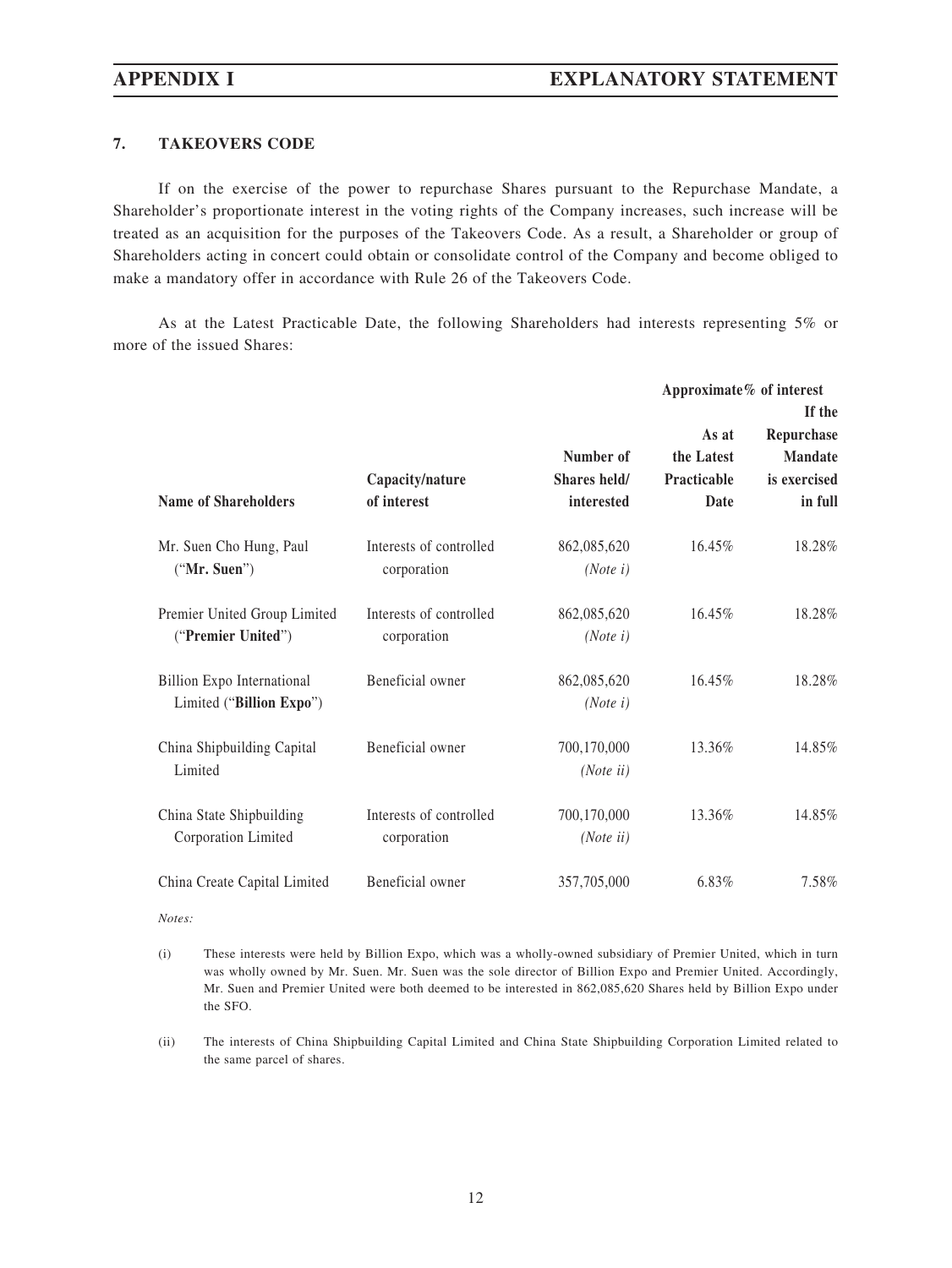# **7. TAKEOVERS CODE**

If on the exercise of the power to repurchase Shares pursuant to the Repurchase Mandate, a Shareholder's proportionate interest in the voting rights of the Company increases, such increase will be treated as an acquisition for the purposes of the Takeovers Code. As a result, a Shareholder or group of Shareholders acting in concert could obtain or consolidate control of the Company and become obliged to make a mandatory offer in accordance with Rule 26 of the Takeovers Code.

As at the Latest Practicable Date, the following Shareholders had interests representing 5% or more of the issued Shares:

|                                                               |                                        |                                         | Approximate% of interest                   | If the                                                  |
|---------------------------------------------------------------|----------------------------------------|-----------------------------------------|--------------------------------------------|---------------------------------------------------------|
| <b>Name of Shareholders</b>                                   | Capacity/nature<br>of interest         | Number of<br>Shares held/<br>interested | As at<br>the Latest<br>Practicable<br>Date | Repurchase<br><b>Mandate</b><br>is exercised<br>in full |
| Mr. Suen Cho Hung, Paul<br>("Mr. Suen")                       | Interests of controlled<br>corporation | 862,085,620<br>(Note i)                 | 16.45%                                     | 18.28%                                                  |
| Premier United Group Limited<br>("Premier United")            | Interests of controlled<br>corporation | 862,085,620<br>(Note i)                 | 16.45%                                     | 18.28%                                                  |
| <b>Billion Expo International</b><br>Limited ("Billion Expo") | Beneficial owner                       | 862,085,620<br>(Note i)                 | 16.45%                                     | 18.28%                                                  |
| China Shipbuilding Capital<br>Limited                         | Beneficial owner                       | 700,170,000<br>(Note ii)                | 13.36%                                     | 14.85%                                                  |
| China State Shipbuilding<br>Corporation Limited               | Interests of controlled<br>corporation | 700,170,000<br>(Note ii)                | 13.36%                                     | 14.85%                                                  |
| China Create Capital Limited                                  | Beneficial owner                       | 357,705,000                             | 6.83%                                      | 7.58%                                                   |

*Notes:*

(i) These interests were held by Billion Expo, which was a wholly-owned subsidiary of Premier United, which in turn was wholly owned by Mr. Suen. Mr. Suen was the sole director of Billion Expo and Premier United. Accordingly, Mr. Suen and Premier United were both deemed to be interested in 862,085,620 Shares held by Billion Expo under the SFO.

(ii) The interests of China Shipbuilding Capital Limited and China State Shipbuilding Corporation Limited related to the same parcel of shares.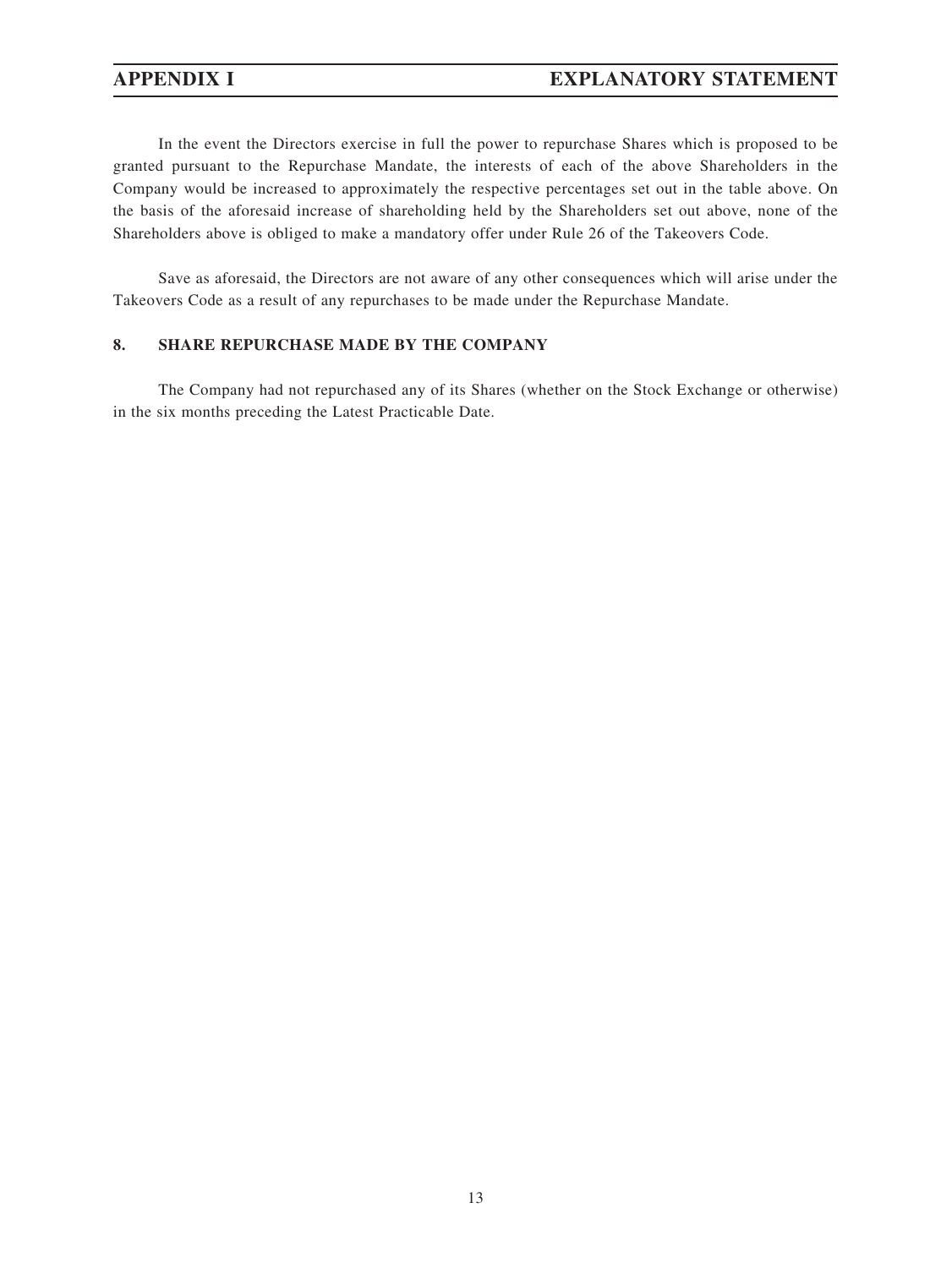# **APPENDIX I EXPLANATORY STATEMENT**

In the event the Directors exercise in full the power to repurchase Shares which is proposed to be granted pursuant to the Repurchase Mandate, the interests of each of the above Shareholders in the Company would be increased to approximately the respective percentages set out in the table above. On the basis of the aforesaid increase of shareholding held by the Shareholders set out above, none of the Shareholders above is obliged to make a mandatory offer under Rule 26 of the Takeovers Code.

Save as aforesaid, the Directors are not aware of any other consequences which will arise under the Takeovers Code as a result of any repurchases to be made under the Repurchase Mandate.

## **8. SHARE REPURCHASE MADE BY THE COMPANY**

The Company had not repurchased any of its Shares (whether on the Stock Exchange or otherwise) in the six months preceding the Latest Practicable Date.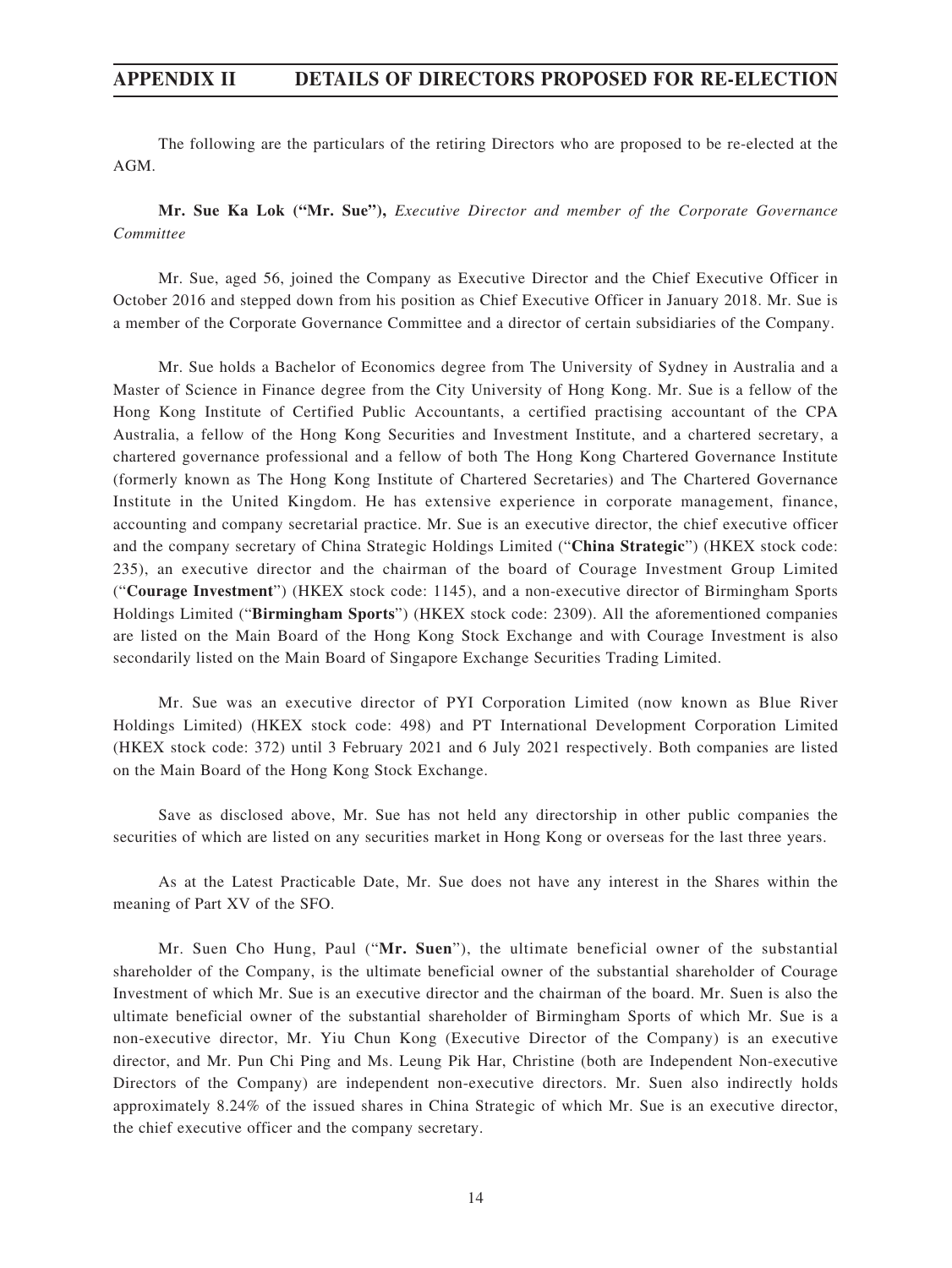# **APPENDIX II DETAILS OF DIRECTORS PROPOSED FOR RE-ELECTION**

The following are the particulars of the retiring Directors who are proposed to be re-elected at the AGM.

**Mr. Sue Ka Lok ("Mr. Sue"),** *Executive Director and member of the Corporate Governance Committee*

Mr. Sue, aged 56, joined the Company as Executive Director and the Chief Executive Officer in October 2016 and stepped down from his position as Chief Executive Officer in January 2018. Mr. Sue is a member of the Corporate Governance Committee and a director of certain subsidiaries of the Company.

Mr. Sue holds a Bachelor of Economics degree from The University of Sydney in Australia and a Master of Science in Finance degree from the City University of Hong Kong. Mr. Sue is a fellow of the Hong Kong Institute of Certified Public Accountants, a certified practising accountant of the CPA Australia, a fellow of the Hong Kong Securities and Investment Institute, and a chartered secretary, a chartered governance professional and a fellow of both The Hong Kong Chartered Governance Institute (formerly known as The Hong Kong Institute of Chartered Secretaries) and The Chartered Governance Institute in the United Kingdom. He has extensive experience in corporate management, finance, accounting and company secretarial practice. Mr. Sue is an executive director, the chief executive officer and the company secretary of China Strategic Holdings Limited ("**China Strategic**") (HKEX stock code: 235), an executive director and the chairman of the board of Courage Investment Group Limited ("**Courage Investment**") (HKEX stock code: 1145), and a non-executive director of Birmingham Sports Holdings Limited ("**Birmingham Sports**") (HKEX stock code: 2309). All the aforementioned companies are listed on the Main Board of the Hong Kong Stock Exchange and with Courage Investment is also secondarily listed on the Main Board of Singapore Exchange Securities Trading Limited.

Mr. Sue was an executive director of PYI Corporation Limited (now known as Blue River Holdings Limited) (HKEX stock code: 498) and PT International Development Corporation Limited (HKEX stock code: 372) until 3 February 2021 and 6 July 2021 respectively. Both companies are listed on the Main Board of the Hong Kong Stock Exchange.

Save as disclosed above, Mr. Sue has not held any directorship in other public companies the securities of which are listed on any securities market in Hong Kong or overseas for the last three years.

As at the Latest Practicable Date, Mr. Sue does not have any interest in the Shares within the meaning of Part XV of the SFO.

Mr. Suen Cho Hung, Paul ("**Mr. Suen**"), the ultimate beneficial owner of the substantial shareholder of the Company, is the ultimate beneficial owner of the substantial shareholder of Courage Investment of which Mr. Sue is an executive director and the chairman of the board. Mr. Suen is also the ultimate beneficial owner of the substantial shareholder of Birmingham Sports of which Mr. Sue is a non-executive director, Mr. Yiu Chun Kong (Executive Director of the Company) is an executive director, and Mr. Pun Chi Ping and Ms. Leung Pik Har, Christine (both are Independent Non-executive Directors of the Company) are independent non-executive directors. Mr. Suen also indirectly holds approximately 8.24% of the issued shares in China Strategic of which Mr. Sue is an executive director, the chief executive officer and the company secretary.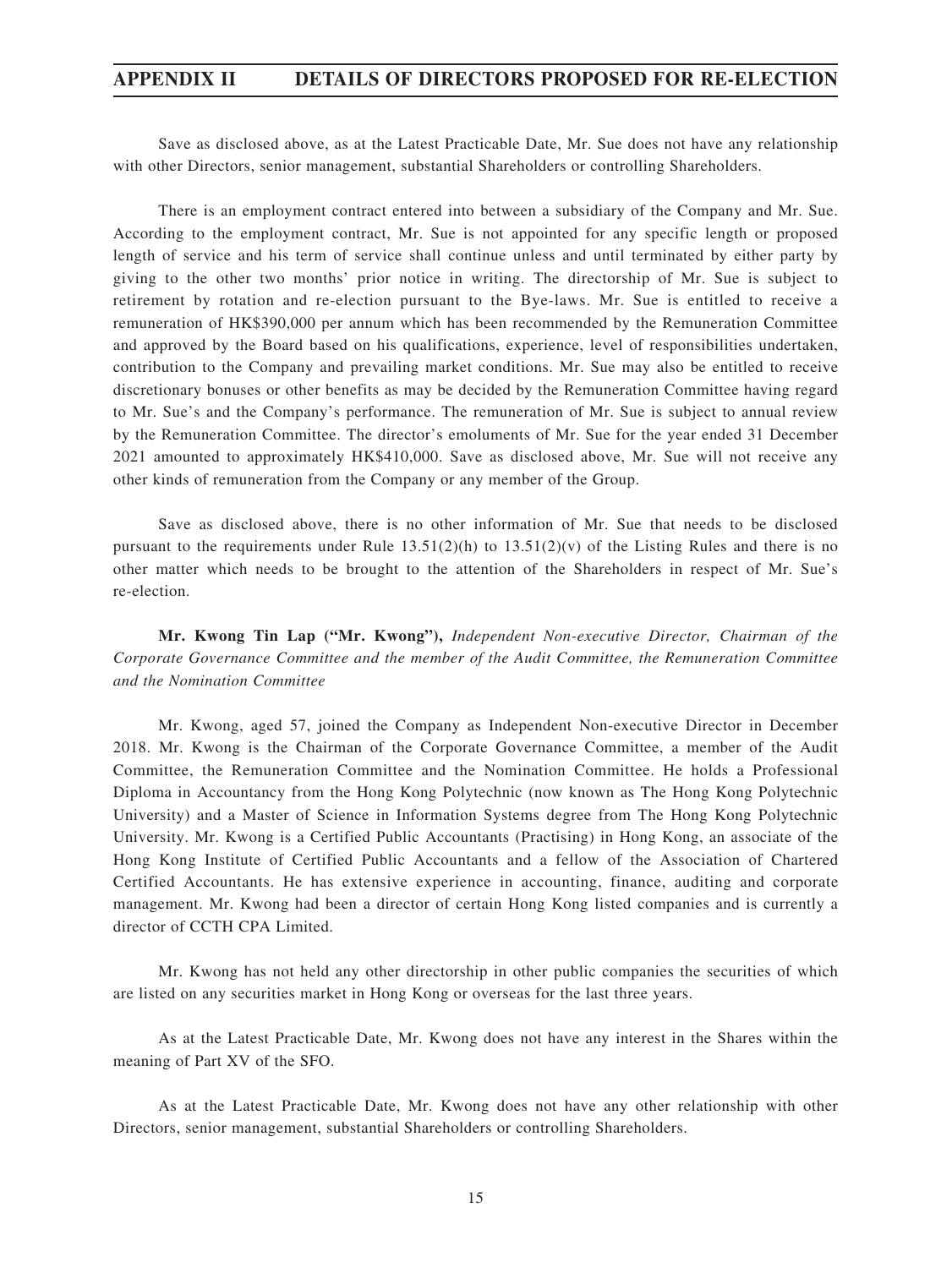# **APPENDIX II DETAILS OF DIRECTORS PROPOSED FOR RE-ELECTION**

Save as disclosed above, as at the Latest Practicable Date, Mr. Sue does not have any relationship with other Directors, senior management, substantial Shareholders or controlling Shareholders.

There is an employment contract entered into between a subsidiary of the Company and Mr. Sue. According to the employment contract, Mr. Sue is not appointed for any specific length or proposed length of service and his term of service shall continue unless and until terminated by either party by giving to the other two months' prior notice in writing. The directorship of Mr. Sue is subject to retirement by rotation and re-election pursuant to the Bye-laws. Mr. Sue is entitled to receive a remuneration of HK\$390,000 per annum which has been recommended by the Remuneration Committee and approved by the Board based on his qualifications, experience, level of responsibilities undertaken, contribution to the Company and prevailing market conditions. Mr. Sue may also be entitled to receive discretionary bonuses or other benefits as may be decided by the Remuneration Committee having regard to Mr. Sue's and the Company's performance. The remuneration of Mr. Sue is subject to annual review by the Remuneration Committee. The director's emoluments of Mr. Sue for the year ended 31 December 2021 amounted to approximately HK\$410,000. Save as disclosed above, Mr. Sue will not receive any other kinds of remuneration from the Company or any member of the Group.

Save as disclosed above, there is no other information of Mr. Sue that needs to be disclosed pursuant to the requirements under Rule  $13.51(2)(h)$  to  $13.51(2)(v)$  of the Listing Rules and there is no other matter which needs to be brought to the attention of the Shareholders in respect of Mr. Sue's re-election.

**Mr. Kwong Tin Lap ("Mr. Kwong"),** *Independent Non-executive Director, Chairman of the Corporate Governance Committee and the member of the Audit Committee, the Remuneration Committee and the Nomination Committee*

Mr. Kwong, aged 57, joined the Company as Independent Non-executive Director in December 2018. Mr. Kwong is the Chairman of the Corporate Governance Committee, a member of the Audit Committee, the Remuneration Committee and the Nomination Committee. He holds a Professional Diploma in Accountancy from the Hong Kong Polytechnic (now known as The Hong Kong Polytechnic University) and a Master of Science in Information Systems degree from The Hong Kong Polytechnic University. Mr. Kwong is a Certified Public Accountants (Practising) in Hong Kong, an associate of the Hong Kong Institute of Certified Public Accountants and a fellow of the Association of Chartered Certified Accountants. He has extensive experience in accounting, finance, auditing and corporate management. Mr. Kwong had been a director of certain Hong Kong listed companies and is currently a director of CCTH CPA Limited.

Mr. Kwong has not held any other directorship in other public companies the securities of which are listed on any securities market in Hong Kong or overseas for the last three years.

As at the Latest Practicable Date, Mr. Kwong does not have any interest in the Shares within the meaning of Part XV of the SFO.

As at the Latest Practicable Date, Mr. Kwong does not have any other relationship with other Directors, senior management, substantial Shareholders or controlling Shareholders.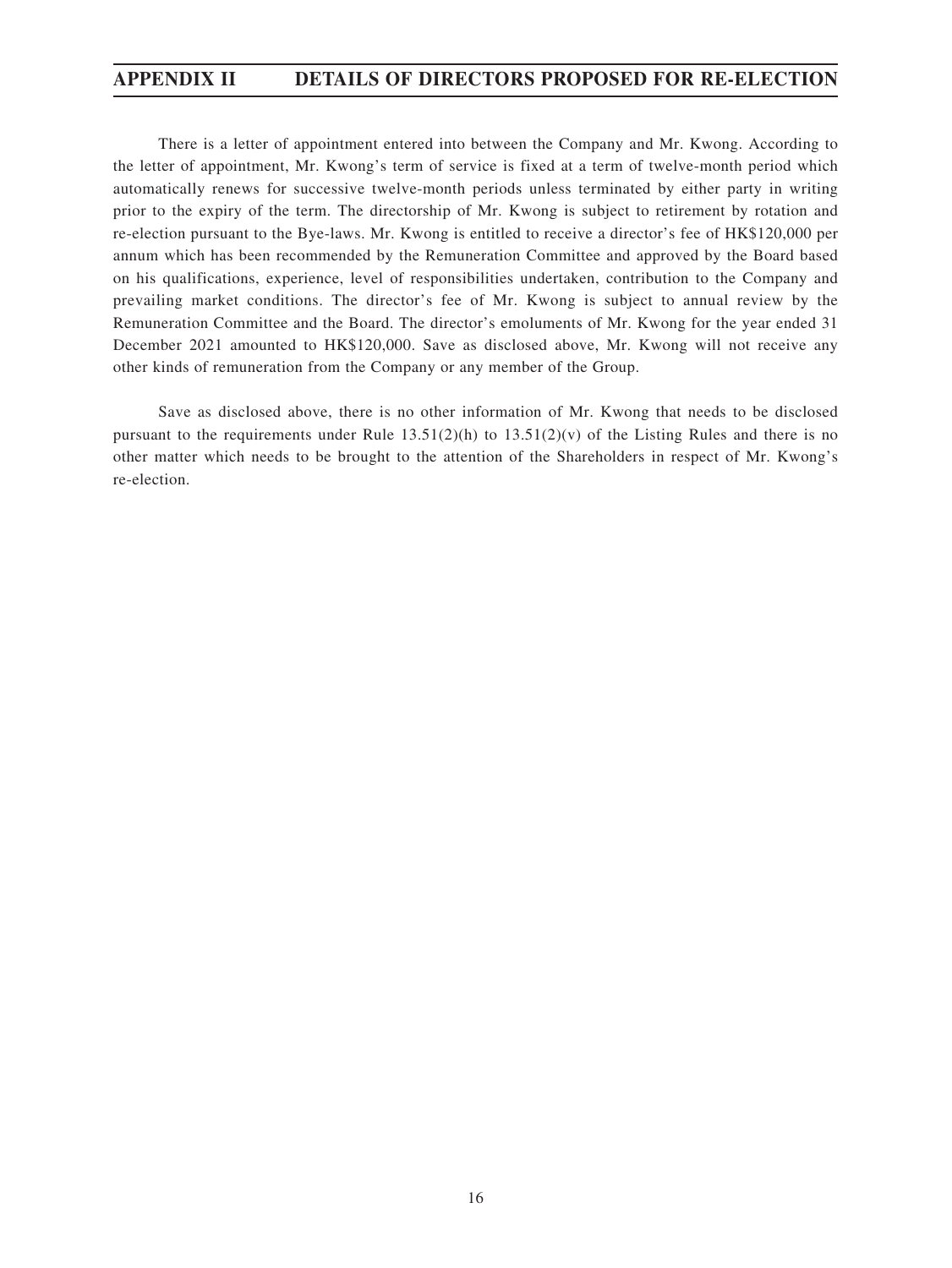# **APPENDIX II DETAILS OF DIRECTORS PROPOSED FOR RE-ELECTION**

There is a letter of appointment entered into between the Company and Mr. Kwong. According to the letter of appointment, Mr. Kwong's term of service is fixed at a term of twelve-month period which automatically renews for successive twelve-month periods unless terminated by either party in writing prior to the expiry of the term. The directorship of Mr. Kwong is subject to retirement by rotation and re-election pursuant to the Bye-laws. Mr. Kwong is entitled to receive a director's fee of HK\$120,000 per annum which has been recommended by the Remuneration Committee and approved by the Board based on his qualifications, experience, level of responsibilities undertaken, contribution to the Company and prevailing market conditions. The director's fee of Mr. Kwong is subject to annual review by the Remuneration Committee and the Board. The director's emoluments of Mr. Kwong for the year ended 31 December 2021 amounted to HK\$120,000. Save as disclosed above, Mr. Kwong will not receive any other kinds of remuneration from the Company or any member of the Group.

Save as disclosed above, there is no other information of Mr. Kwong that needs to be disclosed pursuant to the requirements under Rule  $13.51(2)(h)$  to  $13.51(2)(v)$  of the Listing Rules and there is no other matter which needs to be brought to the attention of the Shareholders in respect of Mr. Kwong's re-election.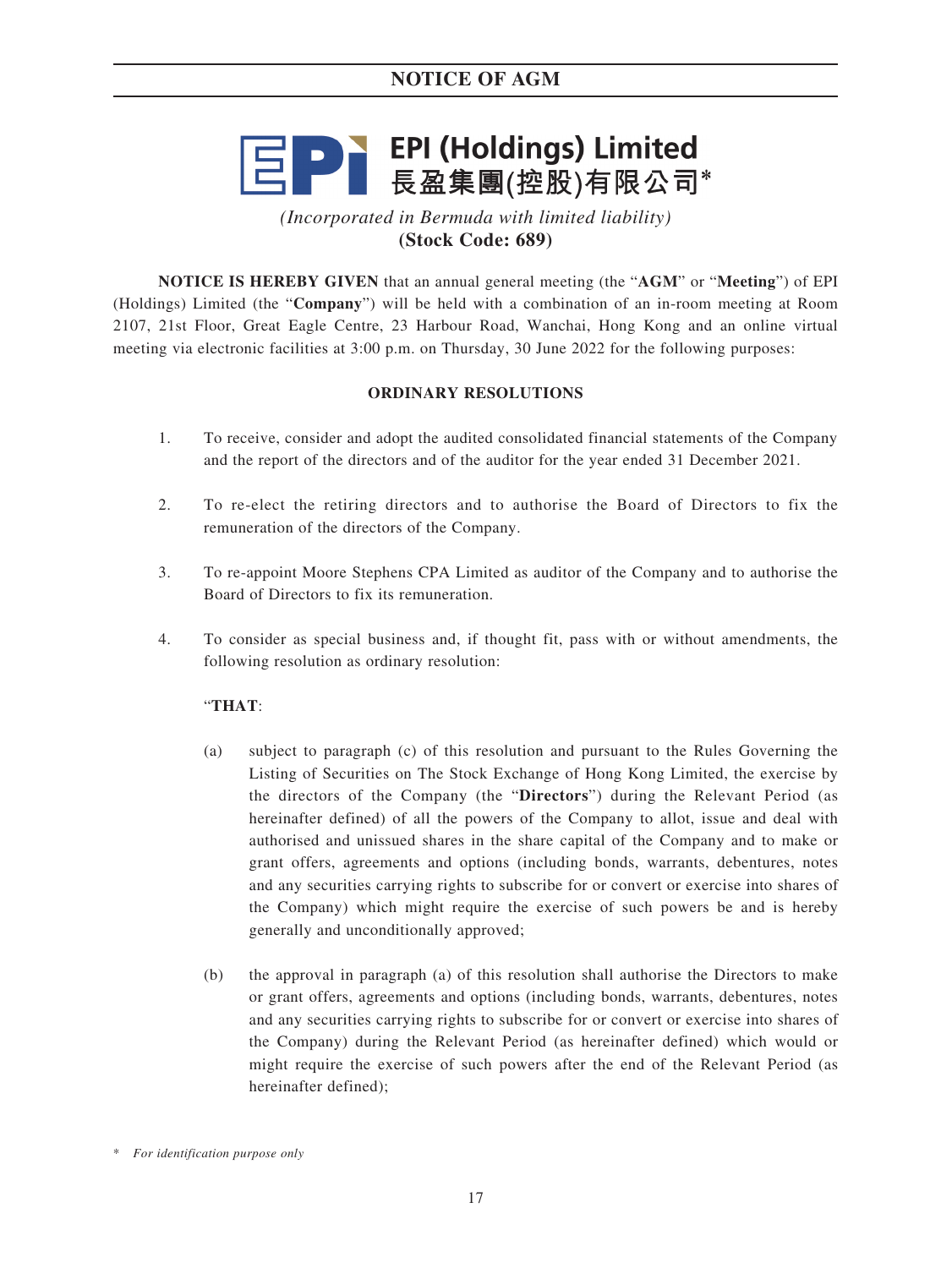# **DE EPI (Holdings) Limited**<br>長盈集團(控股)有限公司\*

*(Incorporated in Bermuda with limited liability)* **(Stock Code: 689)**

**NOTICE IS HEREBY GIVEN** that an annual general meeting (the "**AGM**" or "**Meeting**") of EPI (Holdings) Limited (the "**Company**") will be held with a combination of an in-room meeting at Room 2107, 21st Floor, Great Eagle Centre, 23 Harbour Road, Wanchai, Hong Kong and an online virtual meeting via electronic facilities at 3:00 p.m. on Thursday, 30 June 2022 for the following purposes:

# **ORDINARY RESOLUTIONS**

- 1. To receive, consider and adopt the audited consolidated financial statements of the Company and the report of the directors and of the auditor for the year ended 31 December 2021.
- 2. To re-elect the retiring directors and to authorise the Board of Directors to fix the remuneration of the directors of the Company.
- 3. To re-appoint Moore Stephens CPA Limited as auditor of the Company and to authorise the Board of Directors to fix its remuneration.
- 4. To consider as special business and, if thought fit, pass with or without amendments, the following resolution as ordinary resolution:

# "**THAT**:

- (a) subject to paragraph (c) of this resolution and pursuant to the Rules Governing the Listing of Securities on The Stock Exchange of Hong Kong Limited, the exercise by the directors of the Company (the "**Directors**") during the Relevant Period (as hereinafter defined) of all the powers of the Company to allot, issue and deal with authorised and unissued shares in the share capital of the Company and to make or grant offers, agreements and options (including bonds, warrants, debentures, notes and any securities carrying rights to subscribe for or convert or exercise into shares of the Company) which might require the exercise of such powers be and is hereby generally and unconditionally approved;
- (b) the approval in paragraph (a) of this resolution shall authorise the Directors to make or grant offers, agreements and options (including bonds, warrants, debentures, notes and any securities carrying rights to subscribe for or convert or exercise into shares of the Company) during the Relevant Period (as hereinafter defined) which would or might require the exercise of such powers after the end of the Relevant Period (as hereinafter defined);

<sup>\*</sup> *For identification purpose only*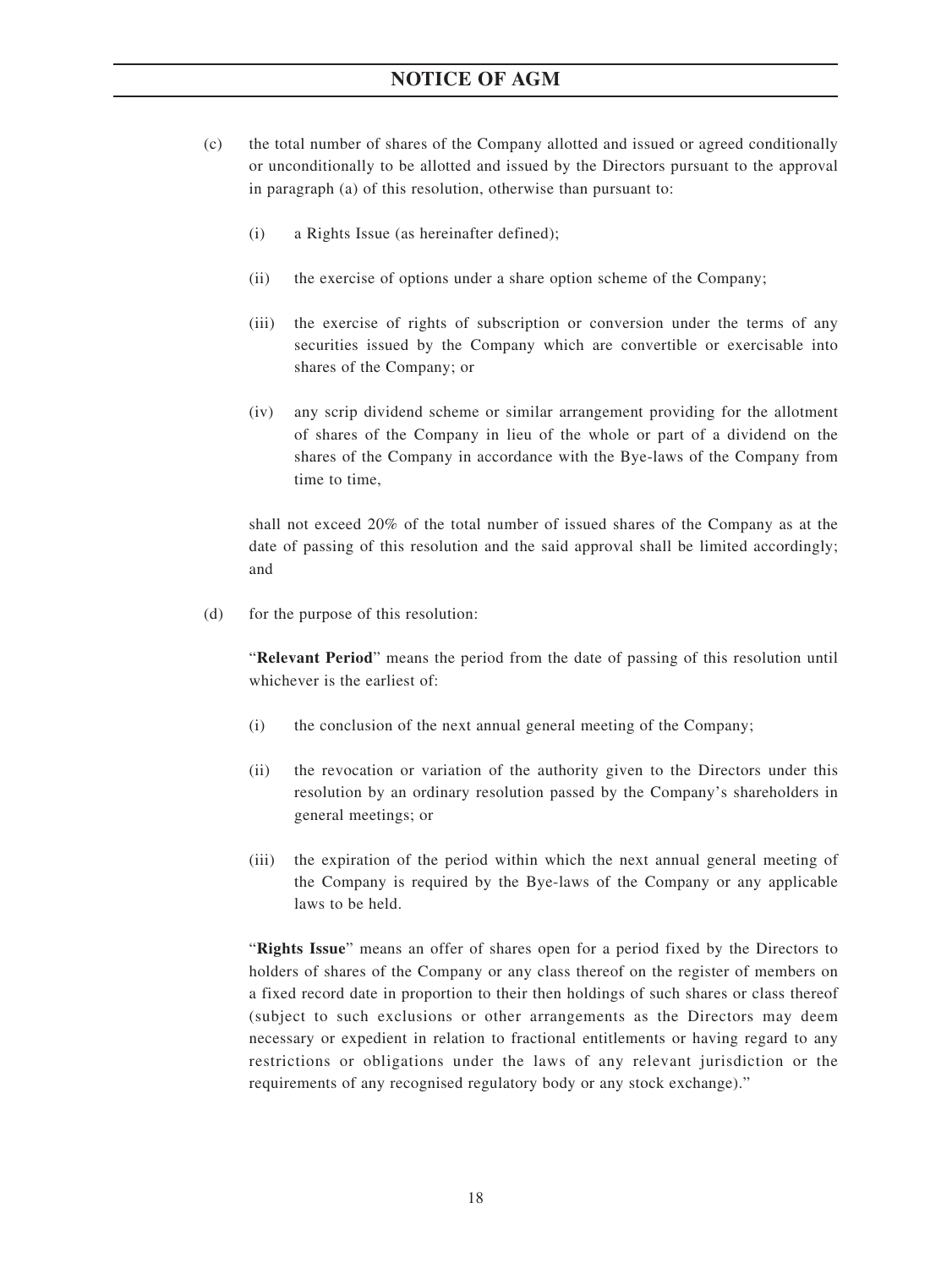- (c) the total number of shares of the Company allotted and issued or agreed conditionally or unconditionally to be allotted and issued by the Directors pursuant to the approval in paragraph (a) of this resolution, otherwise than pursuant to:
	- (i) a Rights Issue (as hereinafter defined);
	- (ii) the exercise of options under a share option scheme of the Company;
	- (iii) the exercise of rights of subscription or conversion under the terms of any securities issued by the Company which are convertible or exercisable into shares of the Company; or
	- (iv) any scrip dividend scheme or similar arrangement providing for the allotment of shares of the Company in lieu of the whole or part of a dividend on the shares of the Company in accordance with the Bye-laws of the Company from time to time,

shall not exceed 20% of the total number of issued shares of the Company as at the date of passing of this resolution and the said approval shall be limited accordingly; and

(d) for the purpose of this resolution:

"**Relevant Period**" means the period from the date of passing of this resolution until whichever is the earliest of:

- (i) the conclusion of the next annual general meeting of the Company;
- (ii) the revocation or variation of the authority given to the Directors under this resolution by an ordinary resolution passed by the Company's shareholders in general meetings; or
- (iii) the expiration of the period within which the next annual general meeting of the Company is required by the Bye-laws of the Company or any applicable laws to be held.

"**Rights Issue**" means an offer of shares open for a period fixed by the Directors to holders of shares of the Company or any class thereof on the register of members on a fixed record date in proportion to their then holdings of such shares or class thereof (subject to such exclusions or other arrangements as the Directors may deem necessary or expedient in relation to fractional entitlements or having regard to any restrictions or obligations under the laws of any relevant jurisdiction or the requirements of any recognised regulatory body or any stock exchange)."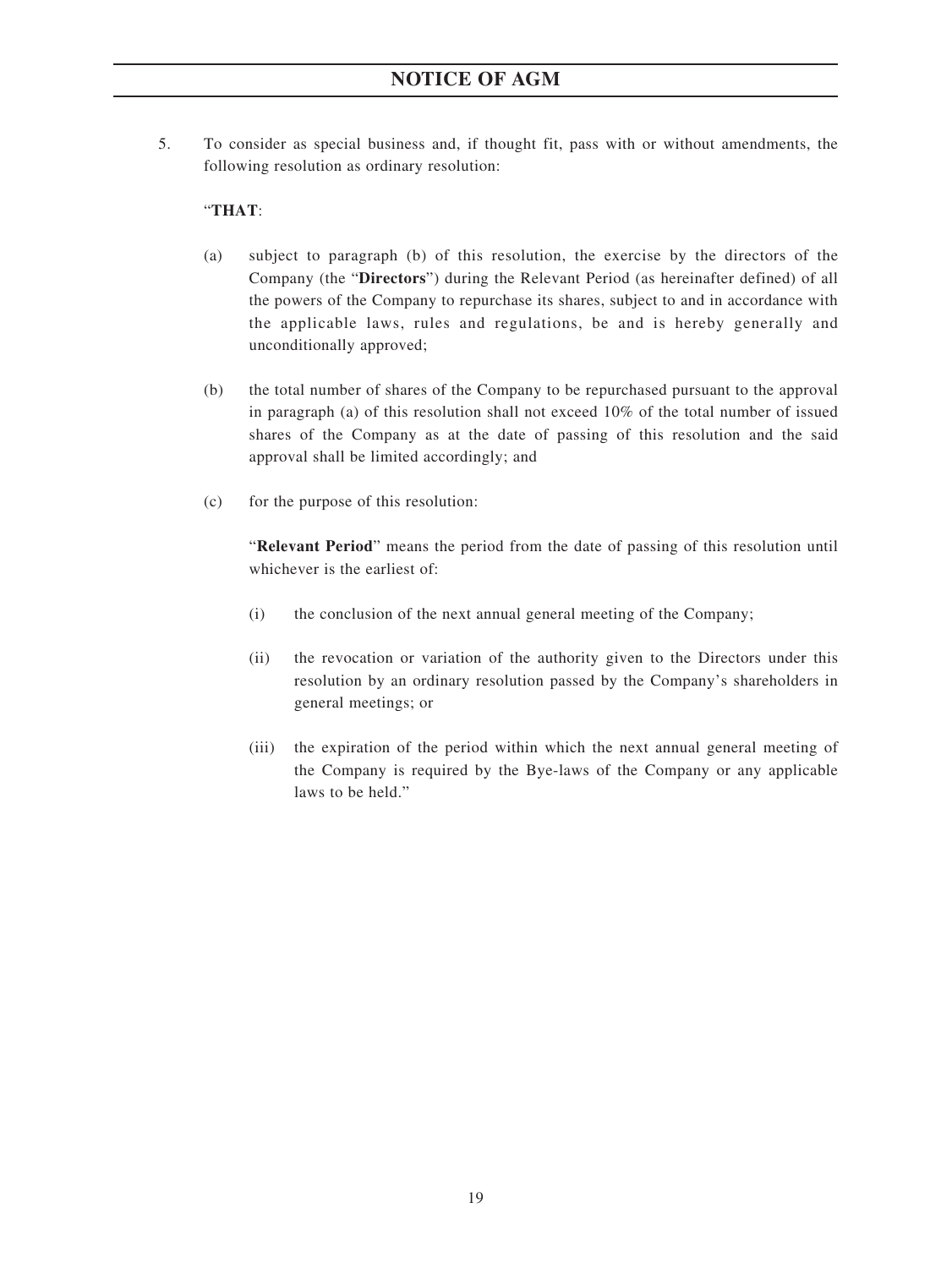5. To consider as special business and, if thought fit, pass with or without amendments, the following resolution as ordinary resolution:

## "**THAT**:

- (a) subject to paragraph (b) of this resolution, the exercise by the directors of the Company (the "**Directors**") during the Relevant Period (as hereinafter defined) of all the powers of the Company to repurchase its shares, subject to and in accordance with the applicable laws, rules and regulations, be and is hereby generally and unconditionally approved;
- (b) the total number of shares of the Company to be repurchased pursuant to the approval in paragraph (a) of this resolution shall not exceed 10% of the total number of issued shares of the Company as at the date of passing of this resolution and the said approval shall be limited accordingly; and
- (c) for the purpose of this resolution:

"**Relevant Period**" means the period from the date of passing of this resolution until whichever is the earliest of:

- (i) the conclusion of the next annual general meeting of the Company;
- (ii) the revocation or variation of the authority given to the Directors under this resolution by an ordinary resolution passed by the Company's shareholders in general meetings; or
- (iii) the expiration of the period within which the next annual general meeting of the Company is required by the Bye-laws of the Company or any applicable laws to be held."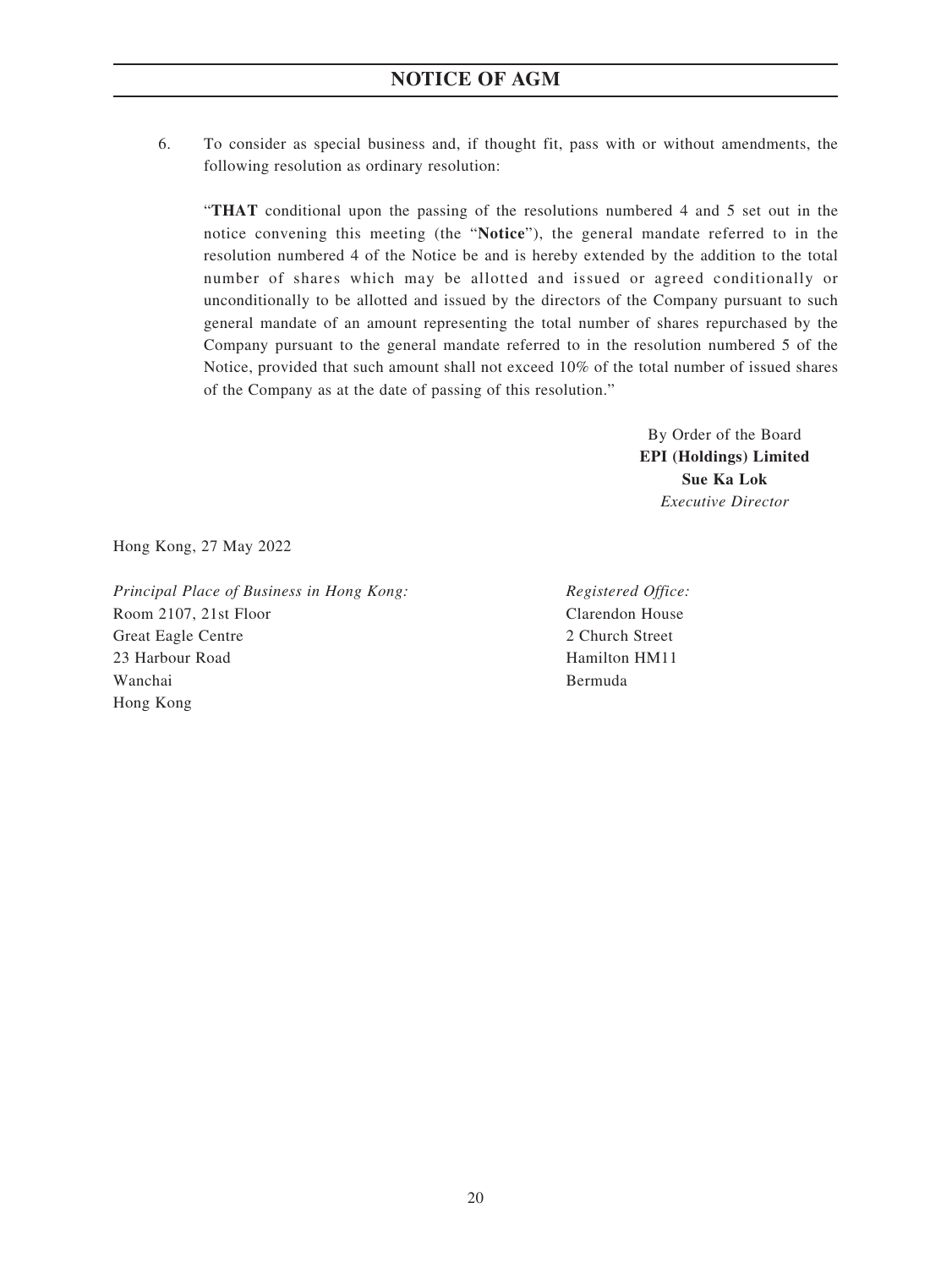6. To consider as special business and, if thought fit, pass with or without amendments, the following resolution as ordinary resolution:

"**THAT** conditional upon the passing of the resolutions numbered 4 and 5 set out in the notice convening this meeting (the "**Notice**"), the general mandate referred to in the resolution numbered 4 of the Notice be and is hereby extended by the addition to the total number of shares which may be allotted and issued or agreed conditionally or unconditionally to be allotted and issued by the directors of the Company pursuant to such general mandate of an amount representing the total number of shares repurchased by the Company pursuant to the general mandate referred to in the resolution numbered 5 of the Notice, provided that such amount shall not exceed 10% of the total number of issued shares of the Company as at the date of passing of this resolution."

> By Order of the Board **EPI (Holdings) Limited Sue Ka Lok** *Executive Director*

Hong Kong, 27 May 2022

*Principal Place of Business in Hong Kong:* Room 2107, 21st Floor Great Eagle Centre 23 Harbour Road Wanchai Hong Kong

*Registered Office:* Clarendon House 2 Church Street Hamilton HM11 Bermuda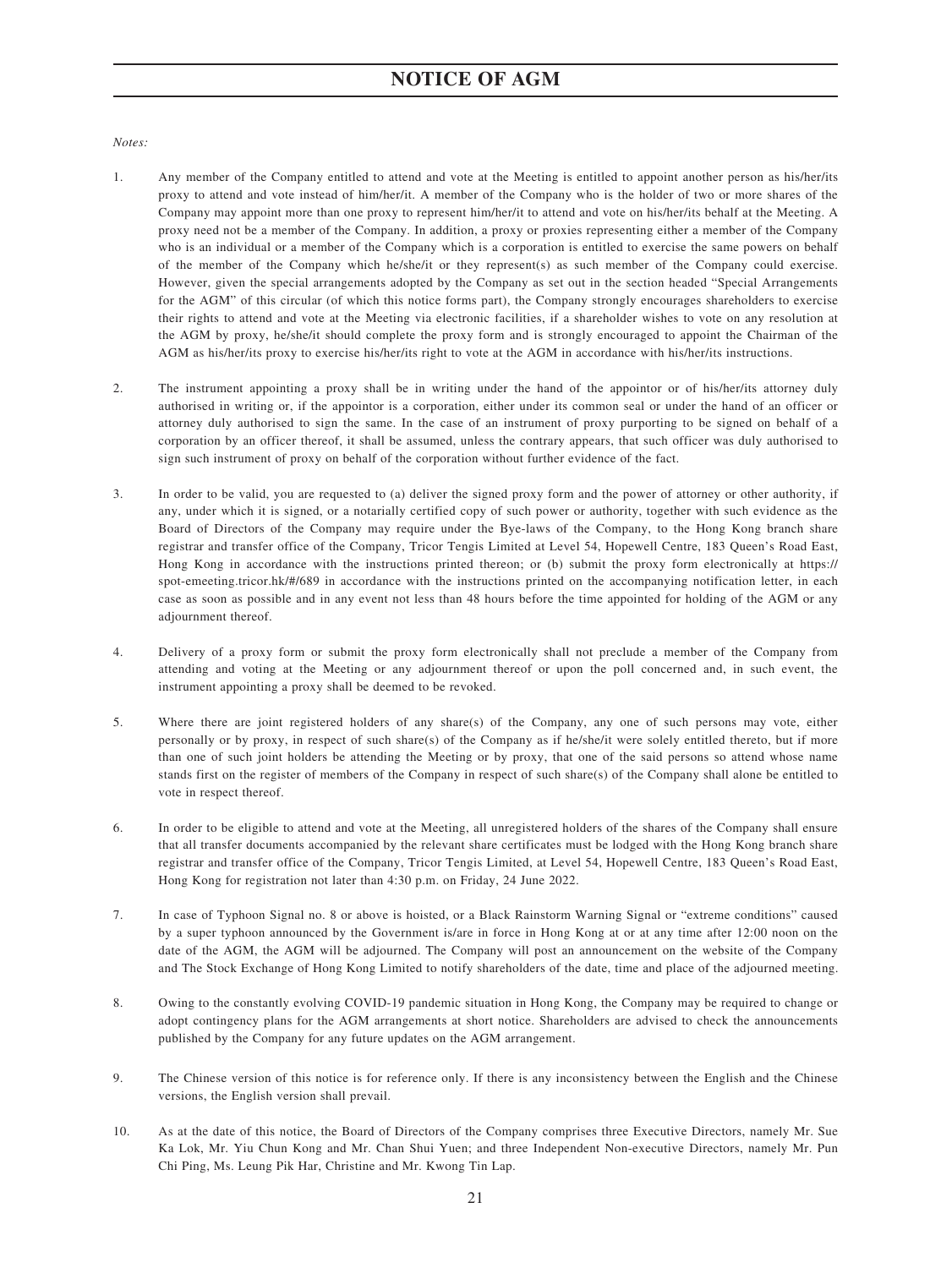*Notes:*

- 1. Any member of the Company entitled to attend and vote at the Meeting is entitled to appoint another person as his/her/its proxy to attend and vote instead of him/her/it. A member of the Company who is the holder of two or more shares of the Company may appoint more than one proxy to represent him/her/it to attend and vote on his/her/its behalf at the Meeting. A proxy need not be a member of the Company. In addition, a proxy or proxies representing either a member of the Company who is an individual or a member of the Company which is a corporation is entitled to exercise the same powers on behalf of the member of the Company which he/she/it or they represent(s) as such member of the Company could exercise. However, given the special arrangements adopted by the Company as set out in the section headed "Special Arrangements for the AGM" of this circular (of which this notice forms part), the Company strongly encourages shareholders to exercise their rights to attend and vote at the Meeting via electronic facilities, if a shareholder wishes to vote on any resolution at the AGM by proxy, he/she/it should complete the proxy form and is strongly encouraged to appoint the Chairman of the AGM as his/her/its proxy to exercise his/her/its right to vote at the AGM in accordance with his/her/its instructions.
- 2. The instrument appointing a proxy shall be in writing under the hand of the appointor or of his/her/its attorney duly authorised in writing or, if the appointor is a corporation, either under its common seal or under the hand of an officer or attorney duly authorised to sign the same. In the case of an instrument of proxy purporting to be signed on behalf of a corporation by an officer thereof, it shall be assumed, unless the contrary appears, that such officer was duly authorised to sign such instrument of proxy on behalf of the corporation without further evidence of the fact.
- 3. In order to be valid, you are requested to (a) deliver the signed proxy form and the power of attorney or other authority, if any, under which it is signed, or a notarially certified copy of such power or authority, together with such evidence as the Board of Directors of the Company may require under the Bye-laws of the Company, to the Hong Kong branch share registrar and transfer office of the Company, Tricor Tengis Limited at Level 54, Hopewell Centre, 183 Queen's Road East, Hong Kong in accordance with the instructions printed thereon; or (b) submit the proxy form electronically at https:// spot-emeeting.tricor.hk/#/689 in accordance with the instructions printed on the accompanying notification letter, in each case as soon as possible and in any event not less than 48 hours before the time appointed for holding of the AGM or any adjournment thereof.
- 4. Delivery of a proxy form or submit the proxy form electronically shall not preclude a member of the Company from attending and voting at the Meeting or any adjournment thereof or upon the poll concerned and, in such event, the instrument appointing a proxy shall be deemed to be revoked.
- 5. Where there are joint registered holders of any share(s) of the Company, any one of such persons may vote, either personally or by proxy, in respect of such share(s) of the Company as if he/she/it were solely entitled thereto, but if more than one of such joint holders be attending the Meeting or by proxy, that one of the said persons so attend whose name stands first on the register of members of the Company in respect of such share(s) of the Company shall alone be entitled to vote in respect thereof.
- 6. In order to be eligible to attend and vote at the Meeting, all unregistered holders of the shares of the Company shall ensure that all transfer documents accompanied by the relevant share certificates must be lodged with the Hong Kong branch share registrar and transfer office of the Company, Tricor Tengis Limited, at Level 54, Hopewell Centre, 183 Queen's Road East, Hong Kong for registration not later than 4:30 p.m. on Friday, 24 June 2022.
- 7. In case of Typhoon Signal no. 8 or above is hoisted, or a Black Rainstorm Warning Signal or "extreme conditions" caused by a super typhoon announced by the Government is/are in force in Hong Kong at or at any time after 12:00 noon on the date of the AGM, the AGM will be adjourned. The Company will post an announcement on the website of the Company and The Stock Exchange of Hong Kong Limited to notify shareholders of the date, time and place of the adjourned meeting.
- 8. Owing to the constantly evolving COVID-19 pandemic situation in Hong Kong, the Company may be required to change or adopt contingency plans for the AGM arrangements at short notice. Shareholders are advised to check the announcements published by the Company for any future updates on the AGM arrangement.
- 9. The Chinese version of this notice is for reference only. If there is any inconsistency between the English and the Chinese versions, the English version shall prevail.
- 10. As at the date of this notice, the Board of Directors of the Company comprises three Executive Directors, namely Mr. Sue Ka Lok, Mr. Yiu Chun Kong and Mr. Chan Shui Yuen; and three Independent Non-executive Directors, namely Mr. Pun Chi Ping, Ms. Leung Pik Har, Christine and Mr. Kwong Tin Lap.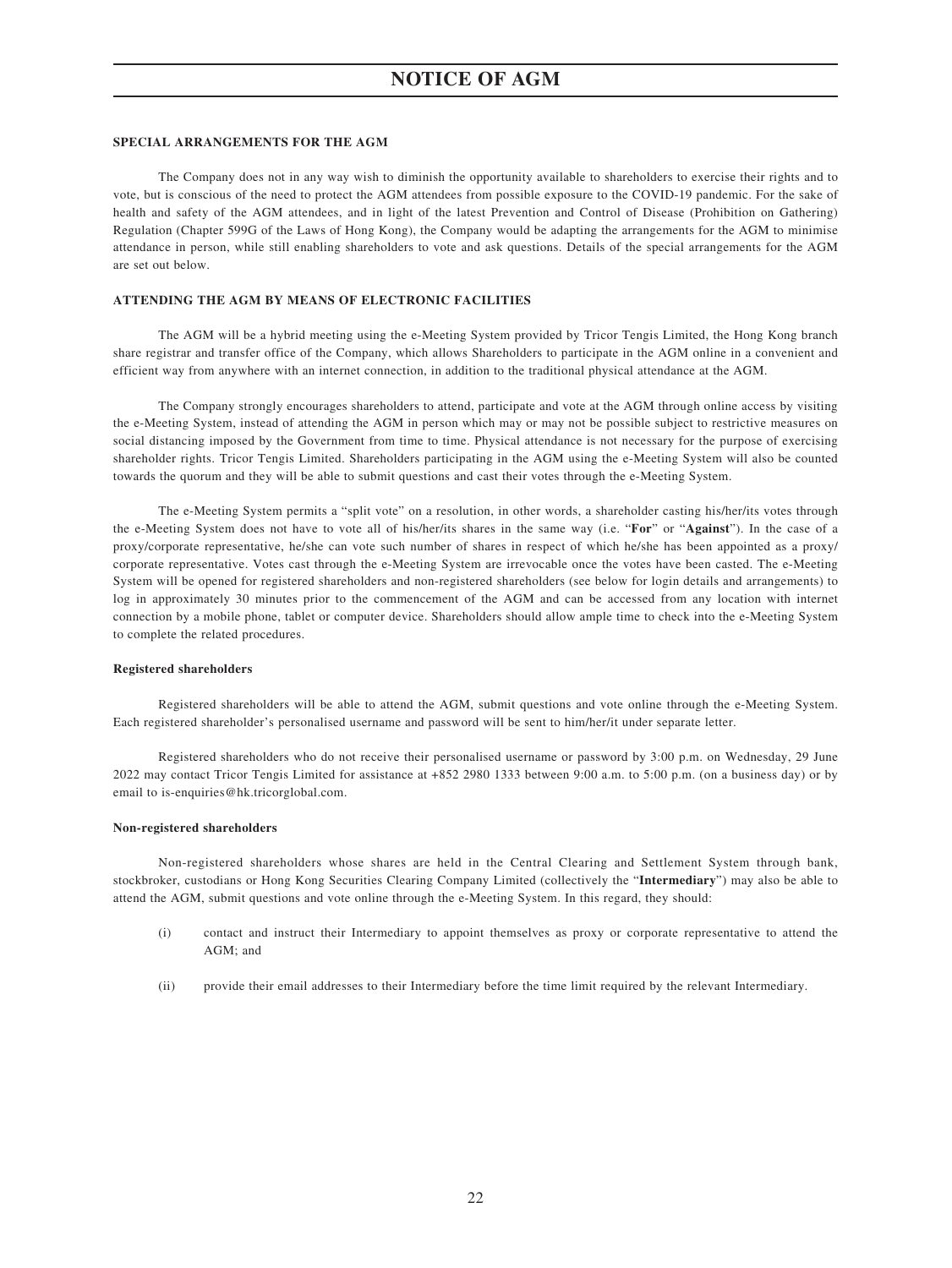The Company does not in any way wish to diminish the opportunity available to shareholders to exercise their rights and to vote, but is conscious of the need to protect the AGM attendees from possible exposure to the COVID-19 pandemic. For the sake of health and safety of the AGM attendees, and in light of the latest Prevention and Control of Disease (Prohibition on Gathering) Regulation (Chapter 599G of the Laws of Hong Kong), the Company would be adapting the arrangements for the AGM to minimise attendance in person, while still enabling shareholders to vote and ask questions. Details of the special arrangements for the AGM are set out below.

#### **ATTENDING THE AGM BY MEANS OF ELECTRONIC FACILITIES**

The AGM will be a hybrid meeting using the e-Meeting System provided by Tricor Tengis Limited, the Hong Kong branch share registrar and transfer office of the Company, which allows Shareholders to participate in the AGM online in a convenient and efficient way from anywhere with an internet connection, in addition to the traditional physical attendance at the AGM.

The Company strongly encourages shareholders to attend, participate and vote at the AGM through online access by visiting the e-Meeting System, instead of attending the AGM in person which may or may not be possible subject to restrictive measures on social distancing imposed by the Government from time to time. Physical attendance is not necessary for the purpose of exercising shareholder rights. Tricor Tengis Limited. Shareholders participating in the AGM using the e-Meeting System will also be counted towards the quorum and they will be able to submit questions and cast their votes through the e-Meeting System.

The e-Meeting System permits a "split vote" on a resolution, in other words, a shareholder casting his/her/its votes through the e-Meeting System does not have to vote all of his/her/its shares in the same way (i.e. "**For**" or "**Against**"). In the case of a proxy/corporate representative, he/she can vote such number of shares in respect of which he/she has been appointed as a proxy/ corporate representative. Votes cast through the e-Meeting System are irrevocable once the votes have been casted. The e-Meeting System will be opened for registered shareholders and non-registered shareholders (see below for login details and arrangements) to log in approximately 30 minutes prior to the commencement of the AGM and can be accessed from any location with internet connection by a mobile phone, tablet or computer device. Shareholders should allow ample time to check into the e-Meeting System to complete the related procedures.

#### **Registered shareholders**

Registered shareholders will be able to attend the AGM, submit questions and vote online through the e-Meeting System. Each registered shareholder's personalised username and password will be sent to him/her/it under separate letter.

Registered shareholders who do not receive their personalised username or password by 3:00 p.m. on Wednesday, 29 June 2022 may contact Tricor Tengis Limited for assistance at +852 2980 1333 between 9:00 a.m. to 5:00 p.m. (on a business day) or by email to is-enquiries@hk.tricorglobal.com.

#### **Non-registered shareholders**

Non-registered shareholders whose shares are held in the Central Clearing and Settlement System through bank, stockbroker, custodians or Hong Kong Securities Clearing Company Limited (collectively the "**Intermediary**") may also be able to attend the AGM, submit questions and vote online through the e-Meeting System. In this regard, they should:

- (i) contact and instruct their Intermediary to appoint themselves as proxy or corporate representative to attend the AGM; and
- (ii) provide their email addresses to their Intermediary before the time limit required by the relevant Intermediary.